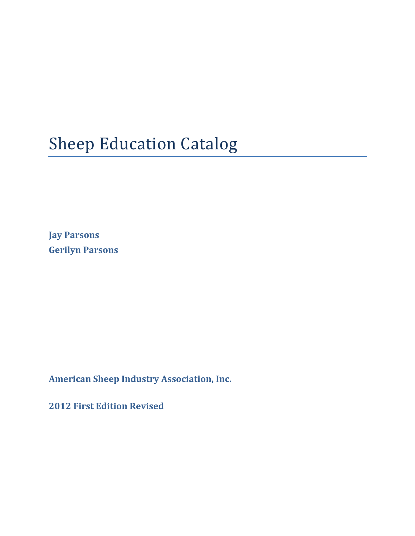# **Sheep Education Catalog**

**Jay Parsons Gerilyn Parsons**

**American Sheep Industry Association, Inc.**

**2012 First Edition Revised**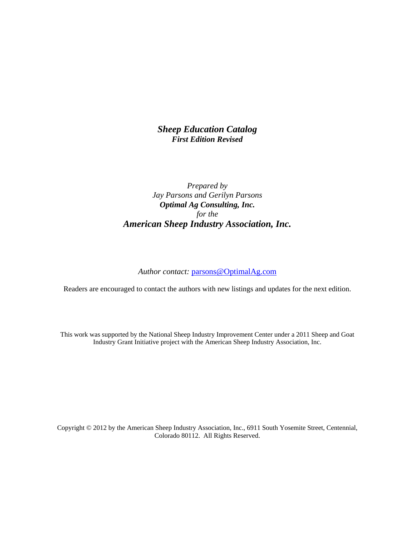# *Sheep Education Catalog First Edition Revised*

# *Prepared by Jay Parsons and Gerilyn Parsons Optimal Ag Consulting, Inc. for the American Sheep Industry Association, Inc.*

#### *Author contact:* parsons@OptimalAg.com

Readers are encouraged to contact the authors with new listings and updates for the next edition.

This work was supported by the National Sheep Industry Improvement Center under a 2011 Sheep and Goat Industry Grant Initiative project with the American Sheep Industry Association, Inc.

Copyright © 2012 by the American Sheep Industry Association, Inc., 6911 South Yosemite Street, Centennial, Colorado 80112. All Rights Reserved.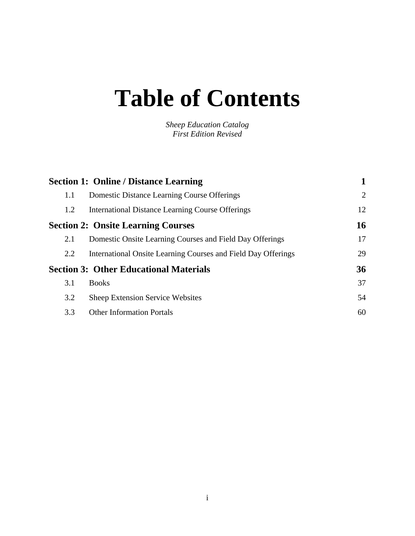# **Table of Contents**

*Sheep Education Catalog First Edition Revised*

|     | <b>Section 1: Online / Distance Learning</b>                  |                |
|-----|---------------------------------------------------------------|----------------|
| 1.1 | <b>Domestic Distance Learning Course Offerings</b>            | $\overline{2}$ |
| 1.2 | <b>International Distance Learning Course Offerings</b>       | 12             |
|     | <b>Section 2: Onsite Learning Courses</b>                     | 16             |
| 2.1 | Domestic Onsite Learning Courses and Field Day Offerings      | 17             |
| 2.2 | International Onsite Learning Courses and Field Day Offerings | 29             |
|     | <b>Section 3: Other Educational Materials</b>                 | 36             |
| 3.1 | <b>Books</b>                                                  | 37             |
| 3.2 | <b>Sheep Extension Service Websites</b>                       | 54             |
| 3.3 | <b>Other Information Portals</b>                              | 60             |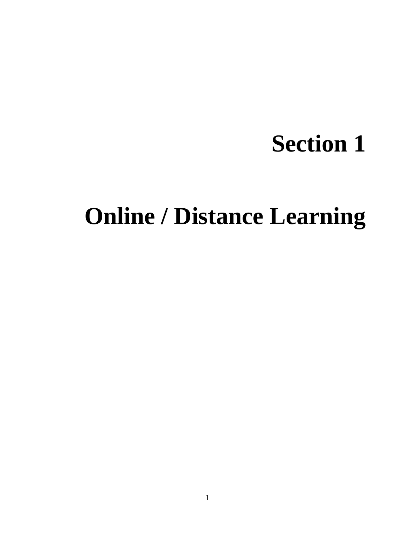# **Section 1**

# **Online / Distance Learning**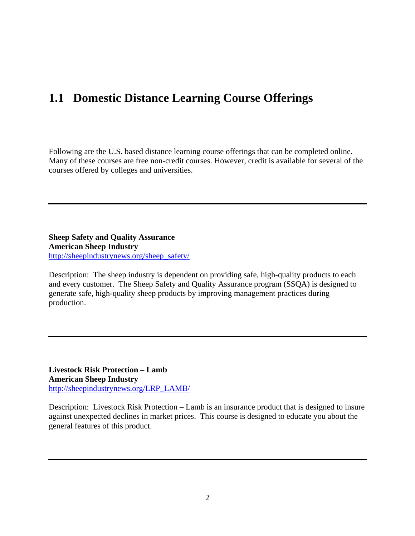# **1.1 Domestic Distance Learning Course Offerings**

Following are the U.S. based distance learning course offerings that can be completed online. Many of these courses are free non-credit courses. However, credit is available for several of the courses offered by colleges and universities.

**Sheep Safety and Quality Assurance American Sheep Industry**  http://sheepindustrynews.org/sheep\_safety/

Description: The sheep industry is dependent on providing safe, high-quality products to each and every customer. The Sheep Safety and Quality Assurance program (SSQA) is designed to generate safe, high-quality sheep products by improving management practices during production.

**Livestock Risk Protection – Lamb American Sheep Industry**  http://sheepindustrynews.org/LRP\_LAMB/

Description: Livestock Risk Protection – Lamb is an insurance product that is designed to insure against unexpected declines in market prices. This course is designed to educate you about the general features of this product.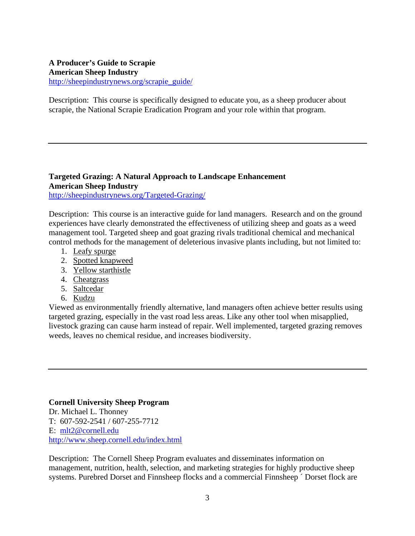### **A Producer's Guide to Scrapie American Sheep Industry**  http://sheepindustrynews.org/scrapie\_guide/

Description: This course is specifically designed to educate you, as a sheep producer about scrapie, the National Scrapie Eradication Program and your role within that program.

# **Targeted Grazing: A Natural Approach to Landscape Enhancement American Sheep Industry**

http://sheepindustrynews.org/Targeted-Grazing/

Description:This course is an interactive guide for land managers.Research and on the ground experiences have clearly demonstrated the effectiveness of utilizing sheep and goats as a weed management tool. Targeted sheep and goat grazing rivals traditional chemical and mechanical control methods for the management of deleterious invasive plants including, but not limited to:

- 1. Leafy spurge
- 2. Spotted knapweed
- 3. Yellow starthistle
- 4. Cheatgrass
- 5. Saltcedar
- 6. Kudzu

Viewed as environmentally friendly alternative, land managers often achieve better results using targeted grazing, especially in the vast road less areas. Like any other tool when misapplied, livestock grazing can cause harm instead of repair. Well implemented, targeted grazing removes weeds, leaves no chemical residue, and increases biodiversity.

#### **Cornell University Sheep Program**

Dr. Michael L. Thonney T: 607-592-2541 / 607-255-7712 E: mlt2@cornell.edu http://www.sheep.cornell.edu/index.html

Description: The Cornell Sheep Program evaluates and disseminates information on management, nutrition, health, selection, and marketing strategies for highly productive sheep systems. Purebred Dorset and Finnsheep flocks and a commercial Finnsheep ´ Dorset flock are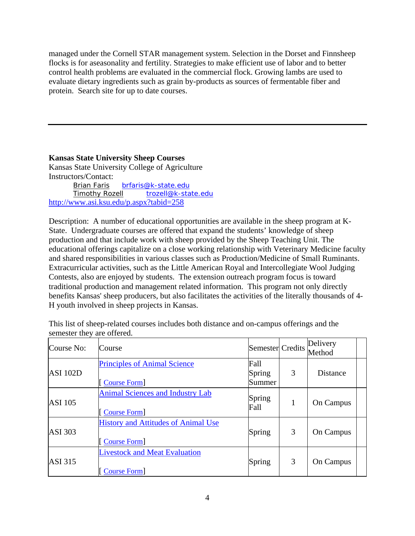managed under the Cornell STAR management system. Selection in the Dorset and Finnsheep flocks is for aseasonality and fertility. Strategies to make efficient use of labor and to better control health problems are evaluated in the commercial flock. Growing lambs are used to evaluate dietary ingredients such as grain by-products as sources of fermentable fiber and protein. Search site for up to date courses.

**Kansas State University Sheep Courses** 

Kansas State University College of Agriculture Instructors/Contact: Brian Faris brfaris@k-state.edu Timothy Rozell trozell@k-state.edu http://www.asi.ksu.edu/p.aspx?tabid=258

Description: A number of educational opportunities are available in the sheep program at K-State. Undergraduate courses are offered that expand the students' knowledge of sheep production and that include work with sheep provided by the Sheep Teaching Unit. The educational offerings capitalize on a close working relationship with Veterinary Medicine faculty and shared responsibilities in various classes such as Production/Medicine of Small Ruminants. Extracurricular activities, such as the Little American Royal and Intercollegiate Wool Judging Contests, also are enjoyed by students. The extension outreach program focus is toward traditional production and management related information. This program not only directly benefits Kansas' sheep producers, but also facilitates the activities of the literally thousands of 4- H youth involved in sheep projects in Kansas.

This list of sheep-related courses includes both distance and on-campus offerings and the semester they are offered.

| Course No:      | Course                                                           | Semester Credits         |   | Delivery<br>Method |  |
|-----------------|------------------------------------------------------------------|--------------------------|---|--------------------|--|
| <b>ASI 102D</b> | <b>Principles of Animal Science</b><br><b>Course Form</b>        | Fall<br>Spring<br>Summer | 3 | <b>Distance</b>    |  |
| <b>ASI</b> 105  | <b>Animal Sciences and Industry Lab</b><br><b>Course Form</b>    | Spring<br>Fall           | 1 | On Campus          |  |
| <b>ASI</b> 303  | <b>History and Attitudes of Animal Use</b><br><b>Course Form</b> | Spring                   | 3 | On Campus          |  |
| <b>ASI</b> 315  | <b>Livestock and Meat Evaluation</b><br>Course Form              | Spring                   | 3 | On Campus          |  |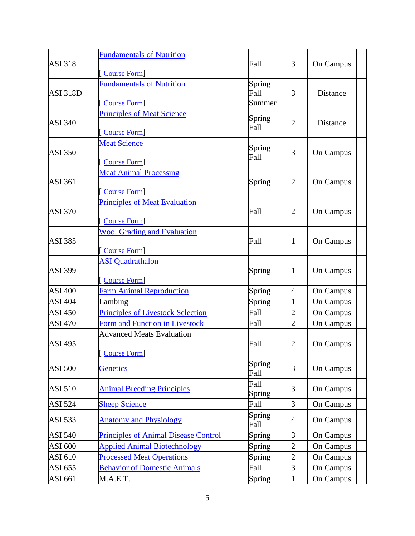|                 | <b>Fundamentals of Nutrition</b>            |                |                |                  |
|-----------------|---------------------------------------------|----------------|----------------|------------------|
| <b>ASI 318</b>  |                                             | Fall           | 3              | On Campus        |
|                 | [Course Form]                               |                |                |                  |
|                 | <b>Fundamentals of Nutrition</b>            | Spring<br>Fall | 3              | Distance         |
| <b>ASI 318D</b> | [Course Form]                               | Summer         |                |                  |
|                 | <b>Principles of Meat Science</b>           | Spring         |                |                  |
| <b>ASI 340</b>  | [Course Form]                               | Fall           | $\overline{2}$ | <b>Distance</b>  |
|                 | <b>Meat Science</b>                         | Spring         |                |                  |
| <b>ASI 350</b>  |                                             | Fall           | 3              | On Campus        |
|                 | [Course Form]                               |                |                |                  |
|                 | <b>Meat Animal Processing</b>               |                |                |                  |
| <b>ASI 361</b>  |                                             | Spring         | $\overline{2}$ | On Campus        |
|                 | [Course Form]                               |                |                |                  |
| <b>ASI 370</b>  | <b>Principles of Meat Evaluation</b>        | Fall           | $\overline{2}$ | On Campus        |
|                 | [Course Form]                               |                |                |                  |
|                 | <b>Wool Grading and Evaluation</b>          |                |                |                  |
| <b>ASI 385</b>  |                                             | Fall           | $\mathbf{1}$   | On Campus        |
|                 | [Course Form]                               |                |                |                  |
|                 | <b>ASI</b> Quadrathalon                     |                |                |                  |
| <b>ASI 399</b>  |                                             | Spring         | $\mathbf{1}$   | On Campus        |
|                 | [Course Form]                               |                |                |                  |
| <b>ASI 400</b>  | <b>Farm Animal Reproduction</b>             | Spring         | $\overline{4}$ | On Campus        |
| <b>ASI 404</b>  | Lambing                                     | Spring         | $\mathbf{1}$   | On Campus        |
| <b>ASI 450</b>  | <b>Principles of Livestock Selection</b>    | Fall           | $\overline{2}$ | On Campus        |
| <b>ASI 470</b>  | Form and Function in Livestock              | Fall           | $\overline{2}$ | On Campus        |
|                 | <b>Advanced Meats Evaluation</b>            |                |                |                  |
| <b>ASI 495</b>  |                                             | Fall           | $\overline{2}$ | On Campus        |
|                 | [Course Form]                               |                |                |                  |
| <b>ASI 500</b>  | <b>Genetics</b>                             | Spring<br>Fall | 3              | On Campus        |
| <b>ASI 510</b>  | <b>Animal Breeding Principles</b>           | Fall<br>Spring | 3              | On Campus        |
| <b>ASI 524</b>  | <b>Sheep Science</b>                        | Fall           | 3              | On Campus        |
|                 |                                             | Spring         |                |                  |
| <b>ASI 533</b>  | <b>Anatomy and Physiology</b>               | Fall           | $\overline{4}$ | On Campus        |
| <b>ASI 540</b>  | <b>Principles of Animal Disease Control</b> | Spring         | 3              | <b>On Campus</b> |
| ASI 600         | <b>Applied Animal Biotechnology</b>         | Spring         | $\overline{2}$ | On Campus        |
| ASI 610         | <b>Processed Meat Operations</b>            | Spring         | $\overline{2}$ | On Campus        |
| ASI 655         | <b>Behavior of Domestic Animals</b>         | Fall           | 3              | On Campus        |
| ASI 661         | M.A.E.T.                                    | Spring         | $\mathbf{1}$   | On Campus        |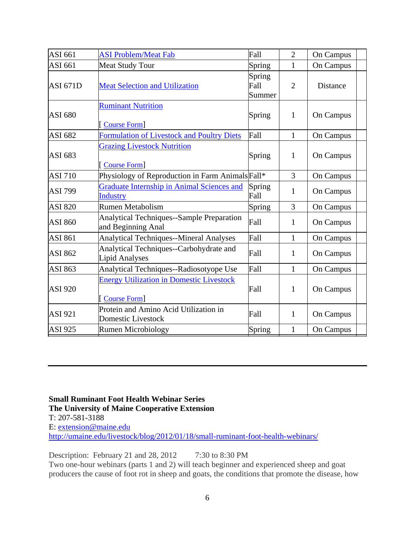| <b>ASI 661</b>  | <b>ASI Problem/Meat Fab</b>                                            | Fall                     | $\overline{2}$ | On Campus        |
|-----------------|------------------------------------------------------------------------|--------------------------|----------------|------------------|
| ASI 661         | <b>Meat Study Tour</b>                                                 | Spring                   | 1              | On Campus        |
| <b>ASI 671D</b> | <b>Meat Selection and Utilization</b>                                  | Spring<br>Fall<br>Summer | $\overline{2}$ | <b>Distance</b>  |
| <b>ASI 680</b>  | <b>Ruminant Nutrition</b><br><b>Course Form</b>                        | Spring                   | $\mathbf{1}$   | <b>On Campus</b> |
| <b>ASI 682</b>  | Formulation of Livestock and Poultry Diets                             | Fall                     | $\mathbf{1}$   | On Campus        |
| ASI 683         | <b>Grazing Livestock Nutrition</b><br>Course Form                      | Spring                   | $\mathbf{1}$   | On Campus        |
| <b>ASI 710</b>  | Physiology of Reproduction in Farm Animals Fall*                       |                          | 3              | On Campus        |
| <b>ASI 799</b>  | Graduate Internship in Animal Sciences and<br><b>Industry</b>          | Spring<br>Fall           | 1              | <b>On Campus</b> |
| <b>ASI 820</b>  | <b>Rumen Metabolism</b>                                                | Spring                   | 3              | On Campus        |
| <b>ASI 860</b>  | <b>Analytical Techniques--Sample Preparation</b><br>and Beginning Anal | Fall                     | 1              | <b>On Campus</b> |
| <b>ASI 861</b>  | <b>Analytical Techniques--Mineral Analyses</b>                         | Fall                     | 1              | On Campus        |
| <b>ASI 862</b>  | Analytical Techniques--Carbohydrate and<br><b>Lipid Analyses</b>       | Fall                     | 1              | On Campus        |
| <b>ASI 863</b>  | Analytical Techniques--Radiosotyope Use                                | Fall                     | $\mathbf{1}$   | On Campus        |
| <b>ASI 920</b>  | <b>Energy Utilization in Domestic Livestock</b><br><b>Course Form</b>  | Fall                     | $\mathbf{1}$   | On Campus        |
| <b>ASI 921</b>  | Protein and Amino Acid Utilization in<br><b>Domestic Livestock</b>     | Fall                     | $\mathbf{1}$   | On Campus        |
| <b>ASI 925</b>  | <b>Rumen Microbiology</b>                                              | Spring                   | $\mathbf{1}$   | <b>On Campus</b> |

**Small Ruminant Foot Health Webinar Series The University of Maine Cooperative Extension**  T: 207-581-3188 E: extension@maine.edu http://umaine.edu/livestock/blog/2012/01/18/small-ruminant-foot-health-webinars/

Description: February 21 and 28, 2012 7:30 to 8:30 PM Two one-hour webinars (parts 1 and 2) will teach beginner and experienced sheep and goat producers the cause of foot rot in sheep and goats, the conditions that promote the disease, how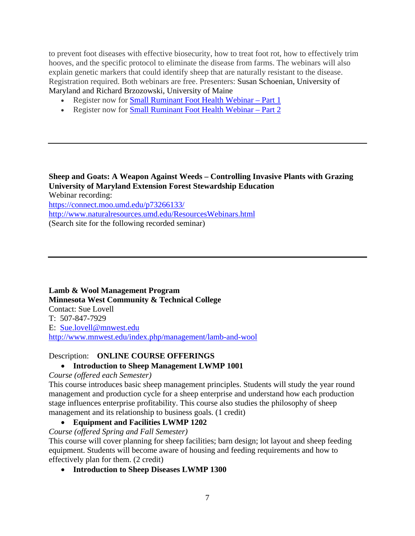to prevent foot diseases with effective biosecurity, how to treat foot rot, how to effectively trim hooves, and the specific protocol to eliminate the disease from farms. The webinars will also explain genetic markers that could identify sheep that are naturally resistant to the disease. Registration required. Both webinars are free. Presenters: Susan Schoenian, University of Maryland and Richard Brzozowski, University of Maine

- Register now for Small Ruminant Foot Health Webinar Part 1
- Register now for Small Ruminant Foot Health Webinar Part 2

**Sheep and Goats: A Weapon Against Weeds – Controlling Invasive Plants with Grazing University of Maryland Extension Forest Stewardship Education**  Webinar recording: https://connect.moo.umd.edu/p73266133/ http://www.naturalresources.umd.edu/ResourcesWebinars.html (Search site for the following recorded seminar)

**Lamb & Wool Management Program Minnesota West Community & Technical College**  Contact: Sue Lovell T: 507-847-7929 E: Sue.lovell@mnwest.edu http://www.mnwest.edu/index.php/management/lamb-and-wool

# Description: **ONLINE COURSE OFFERINGS**

# **Introduction to Sheep Management LWMP 1001**

*Course (offered each Semester)* 

This course introduces basic sheep management principles. Students will study the year round management and production cycle for a sheep enterprise and understand how each production stage influences enterprise profitability. This course also studies the philosophy of sheep management and its relationship to business goals. (1 credit)

**Equipment and Facilities LWMP 1202** 

*Course (offered Spring and Fall Semester)*

This course will cover planning for sheep facilities; barn design; lot layout and sheep feeding equipment. Students will become aware of housing and feeding requirements and how to effectively plan for them. (2 credit)

**Introduction to Sheep Diseases LWMP 1300**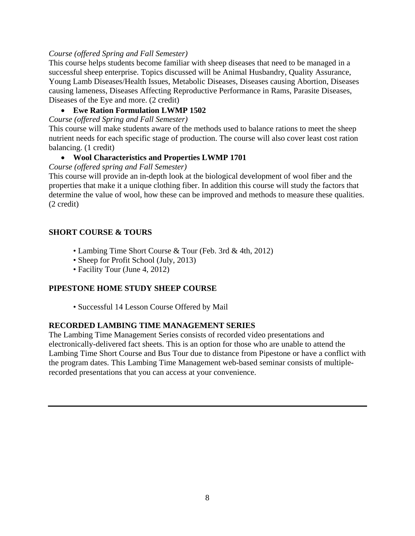# *Course (offered Spring and Fall Semester)*

This course helps students become familiar with sheep diseases that need to be managed in a successful sheep enterprise. Topics discussed will be Animal Husbandry, Quality Assurance, Young Lamb Diseases/Health Issues, Metabolic Diseases, Diseases causing Abortion, Diseases causing lameness, Diseases Affecting Reproductive Performance in Rams, Parasite Diseases, Diseases of the Eye and more. (2 credit)

# **Ewe Ration Formulation LWMP 1502**

*Course (offered Spring and Fall Semester)* 

This course will make students aware of the methods used to balance rations to meet the sheep nutrient needs for each specific stage of production. The course will also cover least cost ration balancing. (1 credit)

# **Wool Characteristics and Properties LWMP 1701**

*Course (offered spring and Fall Semester)* 

This course will provide an in-depth look at the biological development of wool fiber and the properties that make it a unique clothing fiber. In addition this course will study the factors that determine the value of wool, how these can be improved and methods to measure these qualities. (2 credit)

# **SHORT COURSE & TOURS**

- Lambing Time Short Course & Tour (Feb. 3rd & 4th, 2012)
- Sheep for Profit School (July, 2013)
- Facility Tour (June 4, 2012)

# **PIPESTONE HOME STUDY SHEEP COURSE**

• Successful 14 Lesson Course Offered by Mail

# **RECORDED LAMBING TIME MANAGEMENT SERIES**

The Lambing Time Management Series consists of recorded video presentations and electronically-delivered fact sheets. This is an option for those who are unable to attend the Lambing Time Short Course and Bus Tour due to distance from Pipestone or have a conflict with the program dates. This Lambing Time Management web-based seminar consists of multiplerecorded presentations that you can access at your convenience.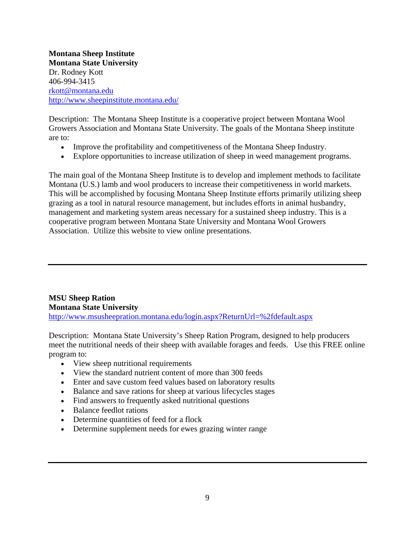**Montana Sheep Institute Montana State University**  Dr. Rodney Kott 406-994-3415 rkott@montana.edu http://www.sheepinstitute.montana.edu/

Description: The Montana Sheep Institute is a cooperative project between Montana Wool Growers Association and Montana State University. The goals of the Montana Sheep institute are to:

- Improve the profitability and competitiveness of the Montana Sheep Industry.
- Explore opportunities to increase utilization of sheep in weed management programs.

The main goal of the Montana Sheep Institute is to develop and implement methods to facilitate Montana (U.S.) lamb and wool producers to increase their competitiveness in world markets. This will be accomplished by focusing Montana Sheep Institute efforts primarily utilizing sheep grazing as a tool in natural resource management, but includes efforts in animal husbandry, management and marketing system areas necessary for a sustained sheep industry. This is a cooperative program between Montana State University and Montana Wool Growers Association. Utilize this website to view online presentations.

**MSU Sheep Ration Montana State University**  http://www.msusheepration.montana.edu/login.aspx?ReturnUrl=%2fdefault.aspx

Description: Montana State University's Sheep Ration Program, designed to help producers meet the nutritional needs of their sheep with available forages and feeds. Use this FREE online program to:

- View sheep nutritional requirements
- View the standard nutrient content of more than 300 feeds
- Enter and save custom feed values based on laboratory results
- Balance and save rations for sheep at various lifecycles stages
- Find answers to frequently asked nutritional questions
- Balance feedlot rations
- Determine quantities of feed for a flock
- Determine supplement needs for ewes grazing winter range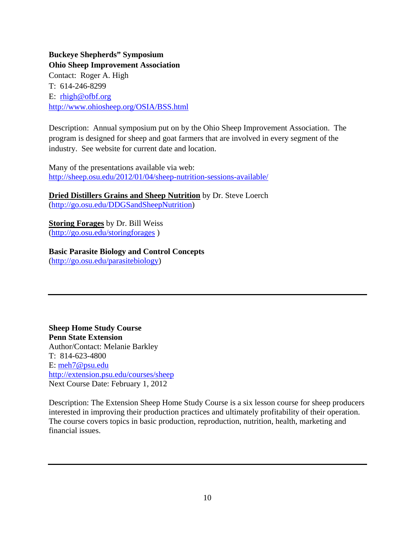**Buckeye Shepherds" Symposium Ohio Sheep Improvement Association**  Contact: Roger A. High T: 614-246-8299 E: rhigh@ofbf.org http://www.ohiosheep.org/OSIA/BSS.html

Description: Annual symposium put on by the Ohio Sheep Improvement Association. The program is designed for sheep and goat farmers that are involved in every segment of the industry. See website for current date and location.

Many of the presentations available via web: http://sheep.osu.edu/2012/01/04/sheep-nutrition-sessions-available/

**Dried Distillers Grains and Sheep Nutrition** by Dr. Steve Loerch (http://go.osu.edu/DDGSandSheepNutrition)

**Storing Forages** by Dr. Bill Weiss (http://go.osu.edu/storingforages )

**Basic Parasite Biology and Control Concepts**  (http://go.osu.edu/parasitebiology)

**Sheep Home Study Course Penn State Extension**  Author/Contact: Melanie Barkley T: 814-623-4800 E: meh7@psu.edu http://extension.psu.edu/courses/sheep Next Course Date: February 1, 2012

Description: The Extension Sheep Home Study Course is a six lesson course for sheep producers interested in improving their production practices and ultimately profitability of their operation. The course covers topics in basic production, reproduction, nutrition, health, marketing and financial issues.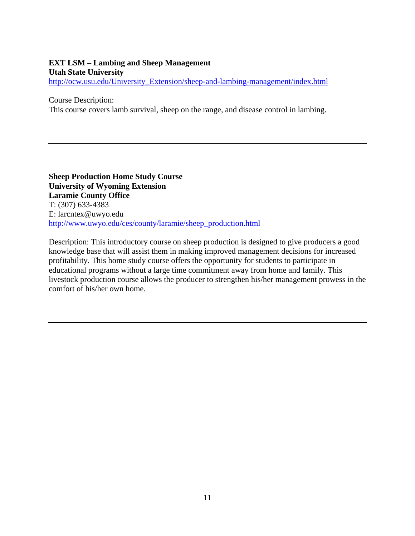### **EXT LSM – Lambing and Sheep Management Utah State University**  http://ocw.usu.edu/University\_Extension/sheep-and-lambing-management/index.html

Course Description:

This course covers lamb survival, sheep on the range, and disease control in lambing.

**Sheep Production Home Study Course University of Wyoming Extension Laramie County Office**  T: (307) 633-4383 E: larcntex@uwyo.edu http://www.uwyo.edu/ces/county/laramie/sheep\_production.html

Description: This introductory course on sheep production is designed to give producers a good knowledge base that will assist them in making improved management decisions for increased profitability. This home study course offers the opportunity for students to participate in educational programs without a large time commitment away from home and family. This livestock production course allows the producer to strengthen his/her management prowess in the comfort of his/her own home.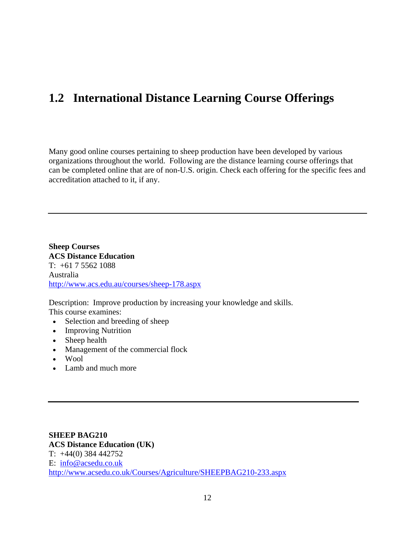# **1.2 International Distance Learning Course Offerings**

Many good online courses pertaining to sheep production have been developed by various organizations throughout the world. Following are the distance learning course offerings that can be completed online that are of non-U.S. origin. Check each offering for the specific fees and accreditation attached to it, if any.

**Sheep Courses ACS Distance Education**   $T: +61755621088$ Australia http://www.acs.edu.au/courses/sheep-178.aspx

Description: Improve production by increasing your knowledge and skills. This course examines:

- Selection and breeding of sheep
- Improving Nutrition
- Sheep health
- Management of the commercial flock
- Wool
- Lamb and much more

**SHEEP BAG210 ACS Distance Education (UK)**  T: +44(0) 384 442752 E: info@acsedu.co.uk http://www.acsedu.co.uk/Courses/Agriculture/SHEEPBAG210-233.aspx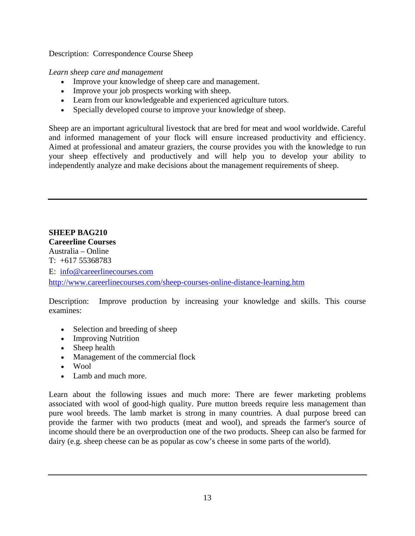Description:Correspondence Course Sheep

*Learn sheep care and management*

- Improve your knowledge of sheep care and management.
- Improve your job prospects working with sheep.
- Learn from our knowledgeable and experienced agriculture tutors.
- Specially developed course to improve your knowledge of sheep.

Sheep are an important agricultural livestock that are bred for meat and wool worldwide. Careful and informed management of your flock will ensure increased productivity and efficiency. Aimed at professional and amateur graziers, the course provides you with the knowledge to run your sheep effectively and productively and will help you to develop your ability to independently analyze and make decisions about the management requirements of sheep.

**SHEEP BAG210 Careerline Courses**  Australia – Online T: +617 55368783 E: info@careerlinecourses.com http://www.careerlinecourses.com/sheep-courses-online-distance-learning.htm

Description: Improve production by increasing your knowledge and skills. This course examines:

- Selection and breeding of sheep
- Improving Nutrition
- Sheep health
- Management of the commercial flock
- Wool
- Lamb and much more.

Learn about the following issues and much more: There are fewer marketing problems associated with wool of good-high quality. Pure mutton breeds require less management than pure wool breeds. The lamb market is strong in many countries. A dual purpose breed can provide the farmer with two products (meat and wool), and spreads the farmer's source of income should there be an overproduction one of the two products. Sheep can also be farmed for dairy (e.g. sheep cheese can be as popular as cow's cheese in some parts of the world).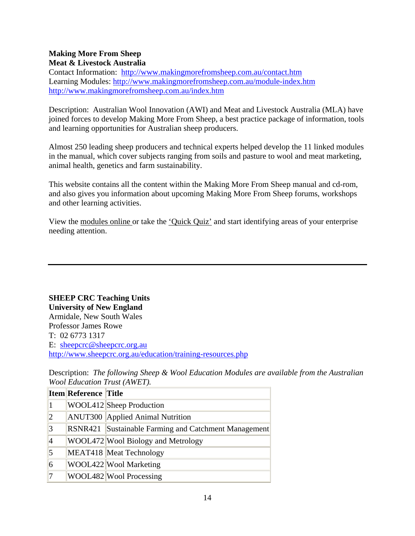### **Making More From Sheep Meat & Livestock Australia**

Contact Information: http://www.makingmorefromsheep.com.au/contact.htm Learning Modules: http://www.makingmorefromsheep.com.au/module-index.htm http://www.makingmorefromsheep.com.au/index.htm

Description: Australian Wool Innovation (AWI) and Meat and Livestock Australia (MLA) have joined forces to develop Making More From Sheep, a best practice package of information, tools and learning opportunities for Australian sheep producers.

Almost 250 leading sheep producers and technical experts helped develop the 11 linked modules in the manual, which cover subjects ranging from soils and pasture to wool and meat marketing, animal health, genetics and farm sustainability.

This website contains all the content within the Making More From Sheep manual and cd-rom, and also gives you information about upcoming Making More From Sheep forums, workshops and other learning activities.

View the modules online or take the 'Quick Quiz' and start identifying areas of your enterprise needing attention.

**SHEEP CRC Teaching Units University of New England**  Armidale, New South Wales Professor James Rowe T: 02 6773 1317 E: sheepcrc@sheepcrc.org.au http://www.sheepcrc.org.au/education/training-resources.php

|                | <b>Item Reference Title</b> |                                                      |
|----------------|-----------------------------|------------------------------------------------------|
|                |                             | <b>WOOL412</b> Sheep Production                      |
| $\overline{2}$ |                             | <b>ANUT300</b> Applied Animal Nutrition              |
| 3              |                             | RSNR421 Sustainable Farming and Catchment Management |
| 4              |                             | WOOL472 Wool Biology and Metrology                   |
| 5              |                             | MEAT418 Meat Technology                              |
| 6              |                             | WOOL422 Wool Marketing                               |
|                |                             | WOOL482 Wool Processing                              |

Description: *The following Sheep & Wool Education Modules are available from the Australian Wool Education Trust (AWET).*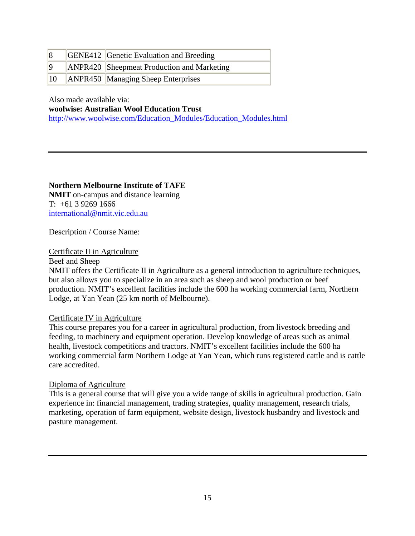| $\vert 8$    | <b>GENE412</b> Genetic Evaluation and Breeding |
|--------------|------------------------------------------------|
| $\vert$ 9    | ANPR420 Sheepmeat Production and Marketing     |
| $ 10\rangle$ | ANPR450 Managing Sheep Enterprises             |

Also made available via:

**woolwise: Australian Wool Education Trust**

http://www.woolwise.com/Education\_Modules/Education\_Modules.html

**Northern Melbourne Institute of TAFE NMIT** on-campus and distance learning T: +61 3 9269 1666 international@nmit.vic.edu.au

Description / Course Name:

#### Certificate II in Agriculture

Beef and Sheep

NMIT offers the Certificate II in Agriculture as a general introduction to agriculture techniques, but also allows you to specialize in an area such as sheep and wool production or beef production. NMIT's excellent facilities include the 600 ha working commercial farm, Northern Lodge, at Yan Yean (25 km north of Melbourne).

#### Certificate IV in Agriculture

This course prepares you for a career in agricultural production, from livestock breeding and feeding, to machinery and equipment operation. Develop knowledge of areas such as animal health, livestock competitions and tractors. NMIT's excellent facilities include the 600 ha working commercial farm Northern Lodge at Yan Yean, which runs registered cattle and is cattle care accredited.

#### Diploma of Agriculture

This is a general course that will give you a wide range of skills in agricultural production. Gain experience in: financial management, trading strategies, quality management, research trials, marketing, operation of farm equipment, website design, livestock husbandry and livestock and pasture management.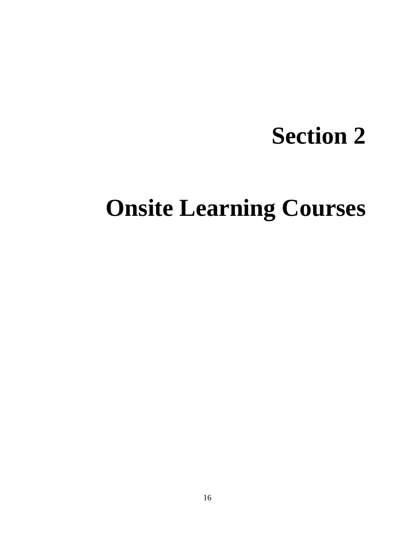# **Section 2**

# **Onsite Learning Courses**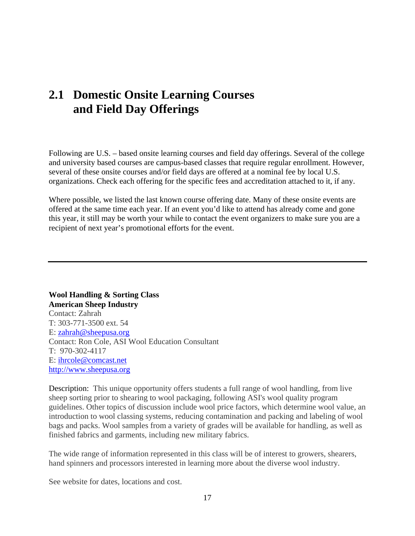# **2.1 Domestic Onsite Learning Courses and Field Day Offerings**

Following are U.S. – based onsite learning courses and field day offerings. Several of the college and university based courses are campus-based classes that require regular enrollment. However, several of these onsite courses and/or field days are offered at a nominal fee by local U.S. organizations. Check each offering for the specific fees and accreditation attached to it, if any.

Where possible, we listed the last known course offering date. Many of these onsite events are offered at the same time each year. If an event you'd like to attend has already come and gone this year, it still may be worth your while to contact the event organizers to make sure you are a recipient of next year's promotional efforts for the event.

**Wool Handling & Sorting Class American Sheep Industry**  Contact: Zahrah T: 303-771-3500 ext. 54 E: zahrah@sheepusa.org Contact: Ron Cole, ASI Wool Education Consultant T: 970-302-4117 E: ihrcole@comcast.net http://www.sheepusa.org

Description: This unique opportunity offers students a full range of wool handling, from live sheep sorting prior to shearing to wool packaging, following ASI's wool quality program guidelines. Other topics of discussion include wool price factors, which determine wool value, an introduction to wool classing systems, reducing contamination and packing and labeling of wool bags and packs. Wool samples from a variety of grades will be available for handling, as well as finished fabrics and garments, including new military fabrics.

The wide range of information represented in this class will be of interest to growers, shearers, hand spinners and processors interested in learning more about the diverse wool industry.

See website for dates, locations and cost.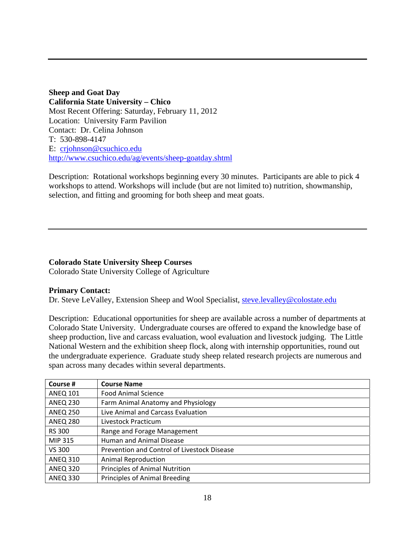**Sheep and Goat Day California State University – Chico**  Most Recent Offering: Saturday, February 11, 2012 Location: University Farm Pavilion Contact: Dr. Celina Johnson T: 530-898-4147 E: crjohnson@csuchico.edu http://www.csuchico.edu/ag/events/sheep-goatday.shtml

Description: Rotational workshops beginning every 30 minutes. Participants are able to pick 4 workshops to attend. Workshops will include (but are not limited to) nutrition, showmanship, selection, and fitting and grooming for both sheep and meat goats.

#### **Colorado State University Sheep Courses**

Colorado State University College of Agriculture

#### **Primary Contact:**

Dr. Steve LeValley, Extension Sheep and Wool Specialist, steve.levalley@colostate.edu

Description: Educational opportunities for sheep are available across a number of departments at Colorado State University. Undergraduate courses are offered to expand the knowledge base of sheep production, live and carcass evaluation, wool evaluation and livestock judging. The Little National Western and the exhibition sheep flock, along with internship opportunities, round out the undergraduate experience. Graduate study sheep related research projects are numerous and span across many decades within several departments.

| Course #        | <b>Course Name</b>                          |
|-----------------|---------------------------------------------|
| <b>ANEQ 101</b> | <b>Food Animal Science</b>                  |
| <b>ANEQ 230</b> | Farm Animal Anatomy and Physiology          |
| <b>ANEQ 250</b> | Live Animal and Carcass Evaluation          |
| <b>ANEQ 280</b> | Livestock Practicum                         |
| <b>RS 300</b>   | Range and Forage Management                 |
| MIP 315         | Human and Animal Disease                    |
| VS 300          | Prevention and Control of Livestock Disease |
| <b>ANEQ 310</b> | <b>Animal Reproduction</b>                  |
| <b>ANEQ 320</b> | Principles of Animal Nutrition              |
| <b>ANEQ 330</b> | Principles of Animal Breeding               |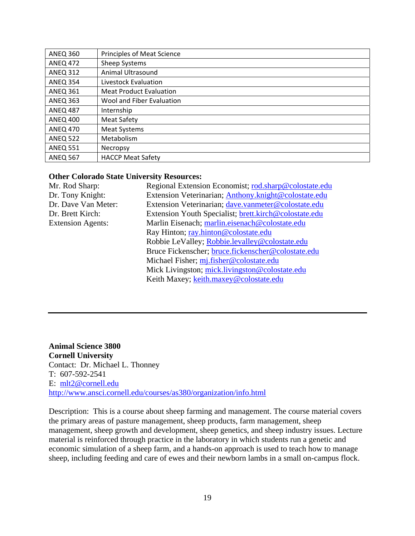| <b>ANEQ 360</b> | Principles of Meat Science     |
|-----------------|--------------------------------|
| <b>ANEQ 472</b> | Sheep Systems                  |
| <b>ANEQ 312</b> | Animal Ultrasound              |
| <b>ANEQ 354</b> | Livestock Evaluation           |
| <b>ANEQ 361</b> | <b>Meat Product Evaluation</b> |
| <b>ANEQ 363</b> | Wool and Fiber Evaluation      |
| <b>ANEQ 487</b> | Internship                     |
| <b>ANEQ 400</b> | <b>Meat Safety</b>             |
| <b>ANEQ 470</b> | <b>Meat Systems</b>            |
| <b>ANEQ 522</b> | Metabolism                     |
| <b>ANEQ 551</b> | Necropsy                       |
| <b>ANEQ 567</b> | <b>HACCP Meat Safety</b>       |

#### **Other Colorado State University Resources:**

| Mr. Rod Sharp:           | Regional Extension Economist; rod.sharp@colostate.edu |
|--------------------------|-------------------------------------------------------|
| Dr. Tony Knight:         | Extension Veterinarian; Anthony.knight@colostate.edu  |
| Dr. Dave Van Meter:      | Extension Veterinarian; dave.vanmeter@colostate.edu   |
| Dr. Brett Kirch:         | Extension Youth Specialist; brett.kirch@colostate.edu |
| <b>Extension Agents:</b> | Marlin Eisenach; marlin.eisenach@colostate.edu        |
|                          | Ray Hinton; ray.hinton@colostate.edu                  |
|                          | Robbie LeValley; Robbie.levalley@colostate.edu        |
|                          | Bruce Fickenscher; bruce.fickenscher@colostate.edu    |
|                          | Michael Fisher; mj.fisher@colostate.edu               |
|                          | Mick Livingston; mick.livingston@colostate.edu        |
|                          | Keith Maxey; keith.maxey@colostate.edu                |
|                          |                                                       |

**Animal Science 3800 Cornell University**  Contact: Dr. Michael L. Thonney T: 607-592-2541 E: mlt2@cornell.edu http://www.ansci.cornell.edu/courses/as380/organization/info.html

Description: This is a course about sheep farming and management. The course material covers the primary areas of pasture management, sheep products, farm management, sheep management, sheep growth and development, sheep genetics, and sheep industry issues. Lecture material is reinforced through practice in the laboratory in which students run a genetic and economic simulation of a sheep farm, and a hands-on approach is used to teach how to manage sheep, including feeding and care of ewes and their newborn lambs in a small on-campus flock.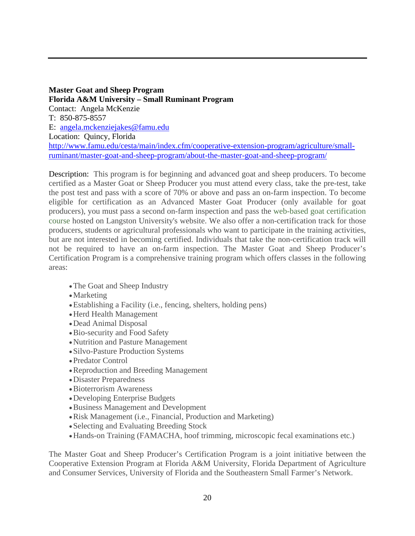**Master Goat and Sheep Program Florida A&M University – Small Ruminant Program**  Contact: Angela McKenzie T: 850-875-8557 E: angela.mckenziejakes@famu.edu Location: Quincy, Florida http://www.famu.edu/cesta/main/index.cfm/cooperative-extension-program/agriculture/smallruminant/master-goat-and-sheep-program/about-the-master-goat-and-sheep-program/

Description: This program is for beginning and advanced goat and sheep producers. To become certified as a Master Goat or Sheep Producer you must attend every class, take the pre-test, take the post test and pass with a score of 70% or above and pass an on-farm inspection. To become eligible for certification as an Advanced Master Goat Producer (only available for goat producers), you must pass a second on-farm inspection and pass the web-based goat certification course hosted on Langston University's website. We also offer a non-certification track for those producers, students or agricultural professionals who want to participate in the training activities, but are not interested in becoming certified. Individuals that take the non-certification track will not be required to have an on-farm inspection. The Master Goat and Sheep Producer's Certification Program is a comprehensive training program which offers classes in the following areas:

- The Goat and Sheep Industry
- Marketing
- Establishing a Facility (i.e., fencing, shelters, holding pens)
- Herd Health Management
- Dead Animal Disposal
- Bio-security and Food Safety
- Nutrition and Pasture Management
- Silvo-Pasture Production Systems
- Predator Control
- Reproduction and Breeding Management
- Disaster Preparedness
- Bioterrorism Awareness
- Developing Enterprise Budgets
- Business Management and Development
- Risk Management (i.e., Financial, Production and Marketing)
- Selecting and Evaluating Breeding Stock
- Hands-on Training (FAMACHA, hoof trimming, microscopic fecal examinations etc.)

The Master Goat and Sheep Producer's Certification Program is a joint initiative between the Cooperative Extension Program at Florida A&M University, Florida Department of Agriculture and Consumer Services, University of Florida and the Southeastern Small Farmer's Network.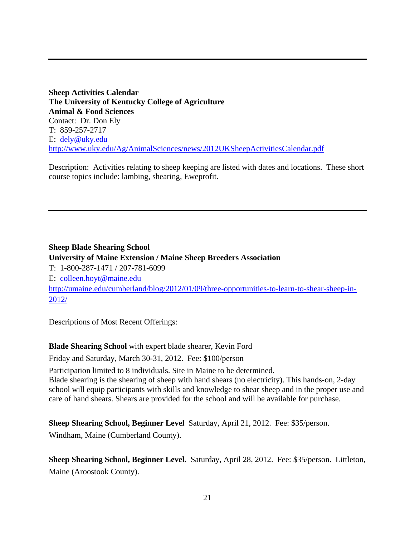**Sheep Activities Calendar The University of Kentucky College of Agriculture Animal & Food Sciences**  Contact: Dr. Don Ely T: 859-257-2717 E: dely@uky.edu http://www.uky.edu/Ag/AnimalSciences/news/2012UKSheepActivitiesCalendar.pdf

Description: Activities relating to sheep keeping are listed with dates and locations. These short course topics include: lambing, shearing, Eweprofit.

**Sheep Blade Shearing School University of Maine Extension / Maine Sheep Breeders Association**  T: 1-800-287-1471 / 207-781-6099 E: colleen.hoyt@maine.edu http://umaine.edu/cumberland/blog/2012/01/09/three-opportunities-to-learn-to-shear-sheep-in-2012/

Descriptions of Most Recent Offerings:

**Blade Shearing School** with expert blade shearer, Kevin Ford

Friday and Saturday, March 30-31, 2012. Fee: \$100/person

Participation limited to 8 individuals. Site in Maine to be determined.

Blade shearing is the shearing of sheep with hand shears (no electricity). This hands-on, 2-day school will equip participants with skills and knowledge to shear sheep and in the proper use and care of hand shears. Shears are provided for the school and will be available for purchase.

**Sheep Shearing School, Beginner Level** Saturday, April 21, 2012. Fee: \$35/person.

Windham, Maine (Cumberland County).

**Sheep Shearing School, Beginner Level.** Saturday, April 28, 2012. Fee: \$35/person. Littleton, Maine (Aroostook County).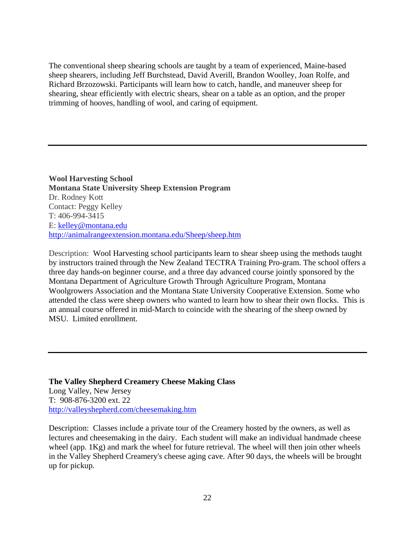The conventional sheep shearing schools are taught by a team of experienced, Maine-based sheep shearers, including Jeff Burchstead, David Averill, Brandon Woolley, Joan Rolfe, and Richard Brzozowski. Participants will learn how to catch, handle, and maneuver sheep for shearing, shear efficiently with electric shears, shear on a table as an option, and the proper trimming of hooves, handling of wool, and caring of equipment.

**Wool Harvesting School Montana State University Sheep Extension Program**  Dr. Rodney Kott Contact: Peggy Kelley T: 406-994-3415 E: kelley@montana.edu http://animalrangeextension.montana.edu/Sheep/sheep.htm

Description: Wool Harvesting school participants learn to shear sheep using the methods taught by instructors trained through the New Zealand TECTRA Training Pro-gram. The school offers a three day hands-on beginner course, and a three day advanced course jointly sponsored by the Montana Department of Agriculture Growth Through Agriculture Program, Montana Woolgrowers Association and the Montana State University Cooperative Extension. Some who attended the class were sheep owners who wanted to learn how to shear their own flocks. This is an annual course offered in mid-March to coincide with the shearing of the sheep owned by MSU. Limited enrollment.

**The Valley Shepherd Creamery Cheese Making Class**  Long Valley, New Jersey T: 908-876-3200 ext. 22 http://valleyshepherd.com/cheesemaking.htm

Description: Classes include a private tour of the Creamery hosted by the owners, as well as lectures and cheesemaking in the dairy. Each student will make an individual handmade cheese wheel (app. 1Kg) and mark the wheel for future retrieval. The wheel will then join other wheels in the Valley Shepherd Creamery's cheese aging cave. After 90 days, the wheels will be brought up for pickup.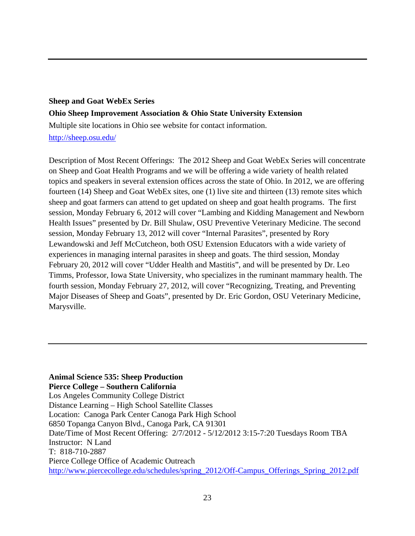# **Sheep and Goat WebEx Series Ohio Sheep Improvement Association & Ohio State University Extension**

Multiple site locations in Ohio see website for contact information.

http://sheep.osu.edu/

Description of Most Recent Offerings: The 2012 Sheep and Goat WebEx Series will concentrate on Sheep and Goat Health Programs and we will be offering a wide variety of health related topics and speakers in several extension offices across the state of Ohio. In 2012, we are offering fourteen (14) Sheep and Goat WebEx sites, one (1) live site and thirteen (13) remote sites which sheep and goat farmers can attend to get updated on sheep and goat health programs. The first session, Monday February 6, 2012 will cover "Lambing and Kidding Management and Newborn Health Issues" presented by Dr. Bill Shulaw, OSU Preventive Veterinary Medicine. The second session, Monday February 13, 2012 will cover "Internal Parasites", presented by Rory Lewandowski and Jeff McCutcheon, both OSU Extension Educators with a wide variety of experiences in managing internal parasites in sheep and goats. The third session, Monday February 20, 2012 will cover "Udder Health and Mastitis", and will be presented by Dr. Leo Timms, Professor, Iowa State University, who specializes in the ruminant mammary health. The fourth session, Monday February 27, 2012, will cover "Recognizing, Treating, and Preventing Major Diseases of Sheep and Goats", presented by Dr. Eric Gordon, OSU Veterinary Medicine, Marysville.

# **Animal Science 535: Sheep Production**

**Pierce College – Southern California**  Los Angeles Community College District Distance Learning – High School Satellite Classes Location: Canoga Park Center Canoga Park High School 6850 Topanga Canyon Blvd., Canoga Park, CA 91301 Date/Time of Most Recent Offering: 2/7/2012 - 5/12/2012 3:15-7:20 Tuesdays Room TBA Instructor: N Land T: 818-710-2887 Pierce College Office of Academic Outreach http://www.piercecollege.edu/schedules/spring\_2012/Off-Campus\_Offerings\_Spring\_2012.pdf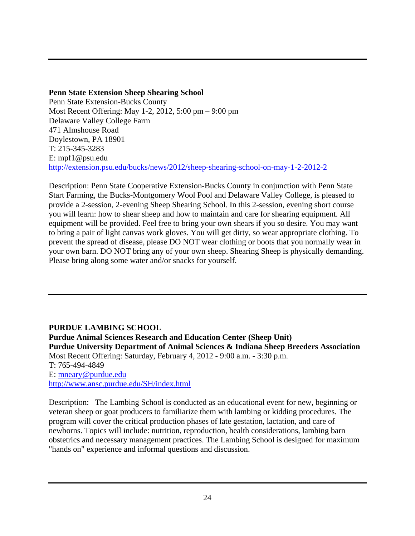# **Penn State Extension Sheep Shearing School**

Penn State Extension-Bucks County Most Recent Offering: May 1-2, 2012, 5:00 pm – 9:00 pm Delaware Valley College Farm 471 Almshouse Road Doylestown, PA 18901 T: 215-345-3283 E: mpf1@psu.edu http://extension.psu.edu/bucks/news/2012/sheep-shearing-school-on-may-1-2-2012-2

Description: Penn State Cooperative Extension-Bucks County in conjunction with Penn State Start Farming, the Bucks-Montgomery Wool Pool and Delaware Valley College, is pleased to provide a 2-session, 2-evening Sheep Shearing School. In this 2-session, evening short course you will learn: how to shear sheep and how to maintain and care for shearing equipment. All equipment will be provided. Feel free to bring your own shears if you so desire. You may want to bring a pair of light canvas work gloves. You will get dirty, so wear appropriate clothing. To prevent the spread of disease, please DO NOT wear clothing or boots that you normally wear in your own barn. DO NOT bring any of your own sheep. Shearing Sheep is physically demanding. Please bring along some water and/or snacks for yourself.

# **PURDUE LAMBING SCHOOL**

**Purdue Animal Sciences Research and Education Center (Sheep Unit) Purdue University Department of Animal Sciences & Indiana Sheep Breeders Association**  Most Recent Offering: Saturday, February 4, 2012 - 9:00 a.m. - 3:30 p.m. T: 765-494-4849 E: mneary@purdue.edu http://www.ansc.purdue.edu/SH/index.html

Description: The Lambing School is conducted as an educational event for new, beginning or veteran sheep or goat producers to familiarize them with lambing or kidding procedures. The program will cover the critical production phases of late gestation, lactation, and care of newborns. Topics will include: nutrition, reproduction, health considerations, lambing barn obstetrics and necessary management practices. The Lambing School is designed for maximum "hands on" experience and informal questions and discussion.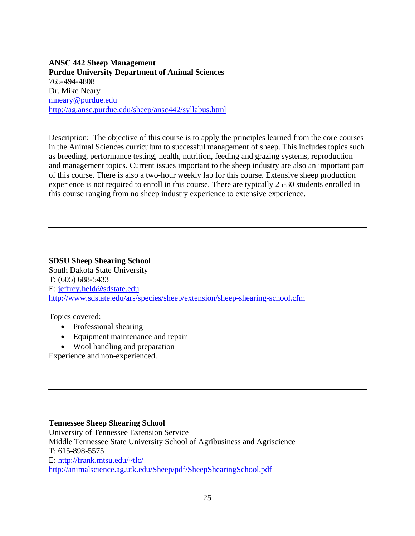**ANSC 442 Sheep Management Purdue University Department of Animal Sciences**  765-494-4808 Dr. Mike Neary mneary@purdue.edu http://ag.ansc.purdue.edu/sheep/ansc442/syllabus.html

Description: The objective of this course is to apply the principles learned from the core courses in the Animal Sciences curriculum to successful management of sheep. This includes topics such as breeding, performance testing, health, nutrition, feeding and grazing systems, reproduction and management topics. Current issues important to the sheep industry are also an important part of this course. There is also a two-hour weekly lab for this course. Extensive sheep production experience is not required to enroll in this course. There are typically 25-30 students enrolled in this course ranging from no sheep industry experience to extensive experience.

**SDSU Sheep Shearing School**  South Dakota State University T: (605) 688-5433 E: jeffrey.held@sdstate.edu http://www.sdstate.edu/ars/species/sheep/extension/sheep-shearing-school.cfm

Topics covered:

- Professional shearing
- Equipment maintenance and repair
- Wool handling and preparation

Experience and non-experienced.

#### **Tennessee Sheep Shearing School**

University of Tennessee Extension Service Middle Tennessee State University School of Agribusiness and Agriscience T: 615-898-5575 E: http://frank.mtsu.edu/~tlc/ http://animalscience.ag.utk.edu/Sheep/pdf/SheepShearingSchool.pdf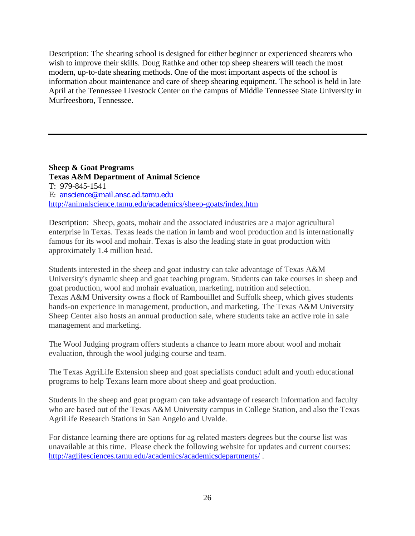Description: The shearing school is designed for either beginner or experienced shearers who wish to improve their skills. Doug Rathke and other top sheep shearers will teach the most modern, up-to-date shearing methods. One of the most important aspects of the school is information about maintenance and care of sheep shearing equipment. The school is held in late April at the Tennessee Livestock Center on the campus of Middle Tennessee State University in Murfreesboro, Tennessee.

**Sheep & Goat Programs Texas A&M Department of Animal Science**  T: 979-845-1541 E: anscience@mail.ansc.ad.tamu.edu http://animalscience.tamu.edu/academics/sheep-goats/index.htm

Description: Sheep, goats, mohair and the associated industries are a major agricultural enterprise in Texas. Texas leads the nation in lamb and wool production and is internationally famous for its wool and mohair. Texas is also the leading state in goat production with approximately 1.4 million head.

Students interested in the sheep and goat industry can take advantage of Texas A&M University's dynamic sheep and goat teaching program. Students can take courses in sheep and goat production, wool and mohair evaluation, marketing, nutrition and selection. Texas A&M University owns a flock of Rambouillet and Suffolk sheep, which gives students hands-on experience in management, production, and marketing. The Texas A&M University Sheep Center also hosts an annual production sale, where students take an active role in sale management and marketing.

The Wool Judging program offers students a chance to learn more about wool and mohair evaluation, through the wool judging course and team.

The Texas AgriLife Extension sheep and goat specialists conduct adult and youth educational programs to help Texans learn more about sheep and goat production.

Students in the sheep and goat program can take advantage of research information and faculty who are based out of the Texas A&M University campus in College Station, and also the Texas AgriLife Research Stations in San Angelo and Uvalde.

For distance learning there are options for ag related masters degrees but the course list was unavailable at this time. Please check the following website for updates and current courses: http://aglifesciences.tamu.edu/academics/academicsdepartments/ .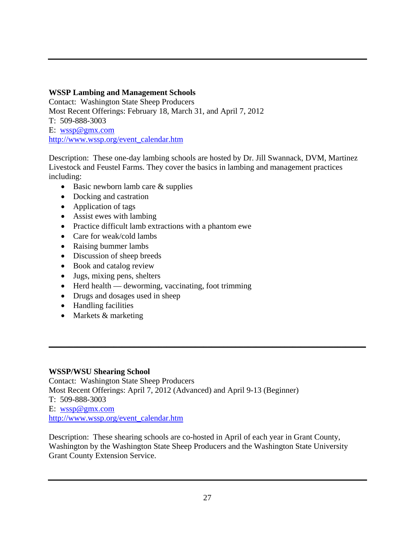# **WSSP Lambing and Management Schools**

Contact: Washington State Sheep Producers Most Recent Offerings: February 18, March 31, and April 7, 2012 T: 509-888-3003 E: wssp@gmx.com http://www.wssp.org/event\_calendar.htm

Description: These one-day lambing schools are hosted by Dr. Jill Swannack, DVM, Martinez Livestock and Feustel Farms. They cover the basics in lambing and management practices including:

- $\bullet$  Basic newborn lamb care & supplies
- Docking and castration
- Application of tags
- Assist ewes with lambing
- Practice difficult lamb extractions with a phantom ewe
- Care for weak/cold lambs
- Raising bummer lambs
- Discussion of sheep breeds
- Book and catalog review
- Jugs, mixing pens, shelters
- $\bullet$  Herd health deworming, vaccinating, foot trimming
- Drugs and dosages used in sheep
- Handling facilities
- Markets & marketing

# **WSSP/WSU Shearing School**

Contact: Washington State Sheep Producers Most Recent Offerings: April 7, 2012 (Advanced) and April 9-13 (Beginner) T: 509-888-3003 E: wssp@gmx.com http://www.wssp.org/event\_calendar.htm

Description: These shearing schools are co-hosted in April of each year in Grant County, Washington by the Washington State Sheep Producers and the Washington State University Grant County Extension Service.

\_\_\_\_\_\_\_\_\_\_\_\_\_\_\_\_\_\_\_\_\_\_\_\_\_\_\_\_\_\_\_\_\_\_\_\_\_\_\_\_\_\_\_\_\_\_\_\_\_\_\_\_\_\_\_\_\_\_\_\_\_\_\_\_\_\_\_\_\_\_\_\_\_\_\_\_\_\_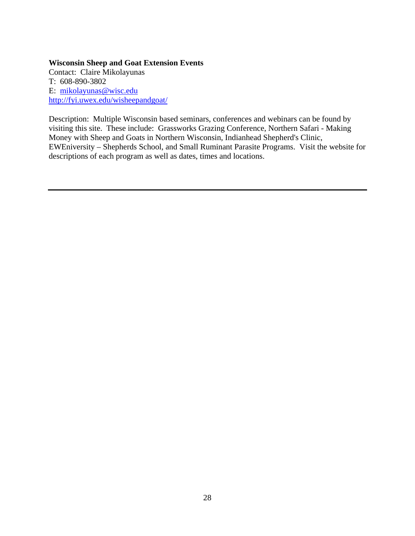#### **Wisconsin Sheep and Goat Extension Events**

Contact: Claire Mikolayunas T: 608-890-3802 E: mikolayunas@wisc.edu http://fyi.uwex.edu/wisheepandgoat/

Description: Multiple Wisconsin based seminars, conferences and webinars can be found by visiting this site. These include: Grassworks Grazing Conference, Northern Safari - Making Money with Sheep and Goats in Northern Wisconsin, Indianhead Shepherd's Clinic, EWEniversity – Shepherds School, and Small Ruminant Parasite Programs. Visit the website for descriptions of each program as well as dates, times and locations.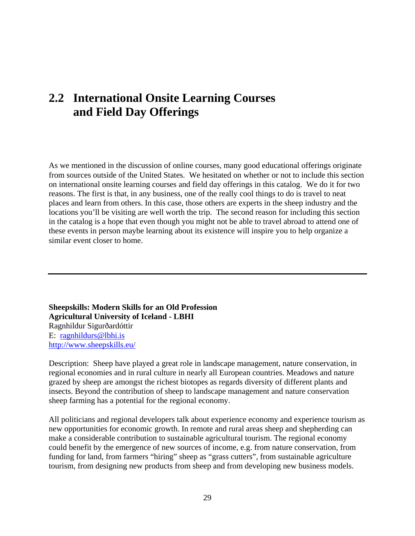# **2.2 International Onsite Learning Courses and Field Day Offerings**

As we mentioned in the discussion of online courses, many good educational offerings originate from sources outside of the United States. We hesitated on whether or not to include this section on international onsite learning courses and field day offerings in this catalog. We do it for two reasons. The first is that, in any business, one of the really cool things to do is travel to neat places and learn from others. In this case, those others are experts in the sheep industry and the locations you'll be visiting are well worth the trip. The second reason for including this section in the catalog is a hope that even though you might not be able to travel abroad to attend one of these events in person maybe learning about its existence will inspire you to help organize a similar event closer to home.

**Sheepskills: Modern Skills for an Old Profession Agricultural University of Iceland - LBHI**  Ragnhildur Sigurðardóttir E: ragnhildurs@lbhi.is http://www.sheepskills.eu/

Description: Sheep have played a great role in landscape management, nature conservation, in regional economies and in rural culture in nearly all European countries. Meadows and nature grazed by sheep are amongst the richest biotopes as regards diversity of different plants and insects. Beyond the contribution of sheep to landscape management and nature conservation sheep farming has a potential for the regional economy.

All politicians and regional developers talk about experience economy and experience tourism as new opportunities for economic growth. In remote and rural areas sheep and shepherding can make a considerable contribution to sustainable agricultural tourism. The regional economy could benefit by the emergence of new sources of income, e.g. from nature conservation, from funding for land, from farmers "hiring" sheep as "grass cutters", from sustainable agriculture tourism, from designing new products from sheep and from developing new business models.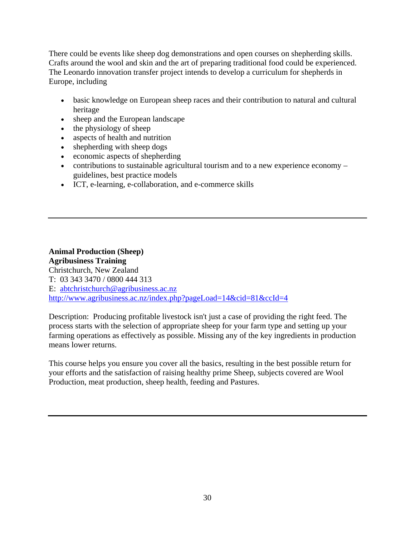There could be events like sheep dog demonstrations and open courses on shepherding skills. Crafts around the wool and skin and the art of preparing traditional food could be experienced. The Leonardo innovation transfer project intends to develop a curriculum for shepherds in Europe, including

- basic knowledge on European sheep races and their contribution to natural and cultural heritage
- sheep and the European landscape
- $\bullet$  the physiology of sheep
- aspects of health and nutrition
- shepherding with sheep dogs
- economic aspects of shepherding
- contributions to sustainable agricultural tourism and to a new experience economy guidelines, best practice models
- ICT, e-learning, e-collaboration, and e-commerce skills

## **Animal Production (Sheep) Agribusiness Training**  Christchurch, New Zealand T: 03 343 3470 / 0800 444 313 E: abtchristchurch@agribusiness.ac.nz http://www.agribusiness.ac.nz/index.php?pageLoad=14&cid=81&ccId=4

Description: Producing profitable livestock isn't just a case of providing the right feed. The process starts with the selection of appropriate sheep for your farm type and setting up your farming operations as effectively as possible. Missing any of the key ingredients in production means lower returns.

This course helps you ensure you cover all the basics, resulting in the best possible return for your efforts and the satisfaction of raising healthy prime Sheep, subjects covered are Wool Production, meat production, sheep health, feeding and Pastures.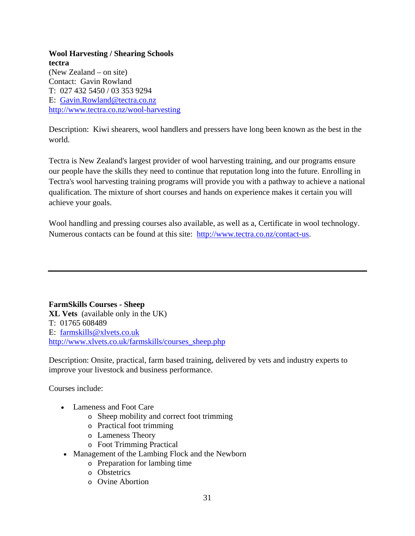## **Wool Harvesting / Shearing Schools tectra**  (New Zealand – on site) Contact: Gavin Rowland T: 027 432 5450 / 03 353 9294 E: Gavin.Rowland@tectra.co.nz http://www.tectra.co.nz/wool-harvesting

Description: Kiwi shearers, wool handlers and pressers have long been known as the best in the world.

Tectra is New Zealand's largest provider of wool harvesting training, and our programs ensure our people have the skills they need to continue that reputation long into the future. Enrolling in Tectra's wool harvesting training programs will provide you with a pathway to achieve a national qualification. The mixture of short courses and hands on experience makes it certain you will achieve your goals.

Wool handling and pressing courses also available, as well as a, Certificate in wool technology. Numerous contacts can be found at this site: http://www.tectra.co.nz/contact-us.

**FarmSkills Courses - Sheep XL Vets** (available only in the UK) T: 01765 608489 E: farmskills@xlvets.co.uk http://www.xlvets.co.uk/farmskills/courses\_sheep.php

Description: Onsite, practical, farm based training, delivered by vets and industry experts to improve your livestock and business performance.

Courses include:

- Lameness and Foot Care
	- o Sheep mobility and correct foot trimming
	- o Practical foot trimming
	- o Lameness Theory
	- o Foot Trimming Practical
- Management of the Lambing Flock and the Newborn
	- o Preparation for lambing time
	- o Obstetrics
	- o Ovine Abortion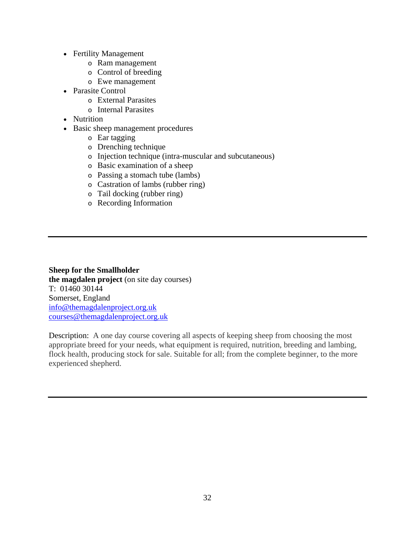- Fertility Management
	- o Ram management
	- o Control of breeding
	- o Ewe management
- Parasite Control
	- o External Parasites
	- o Internal Parasites
- Nutrition
- Basic sheep management procedures
	- o Ear tagging
	- o Drenching technique
	- o Injection technique (intra-muscular and subcutaneous)
	- o Basic examination of a sheep
	- o Passing a stomach tube (lambs)
	- o Castration of lambs (rubber ring)
	- o Tail docking (rubber ring)
	- o Recording Information

**Sheep for the Smallholder the magdalen project** (on site day courses) T: 01460 30144 Somerset, England info@themagdalenproject.org.uk courses@themagdalenproject.org.uk

Description: A one day course covering all aspects of keeping sheep from choosing the most appropriate breed for your needs, what equipment is required, nutrition, breeding and lambing, flock health, producing stock for sale. Suitable for all; from the complete beginner, to the more experienced shepherd.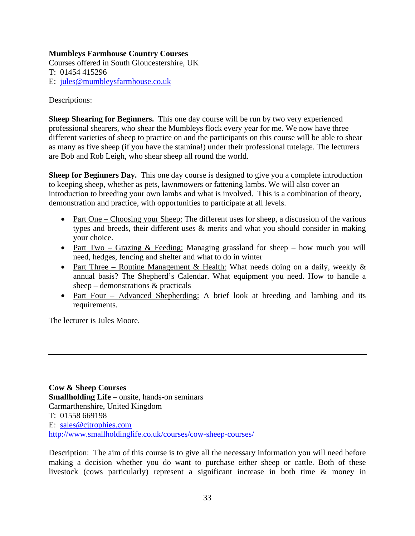# **Mumbleys Farmhouse Country Courses**

Courses offered in South Gloucestershire, UK T: 01454 415296 E: jules@mumbleysfarmhouse.co.uk

Descriptions:

**Sheep Shearing for Beginners.** This one day course will be run by two very experienced professional shearers, who shear the Mumbleys flock every year for me. We now have three different varieties of sheep to practice on and the participants on this course will be able to shear as many as five sheep (if you have the stamina!) under their professional tutelage. The lecturers are Bob and Rob Leigh, who shear sheep all round the world.

**Sheep for Beginners Day.** This one day course is designed to give you a complete introduction to keeping sheep, whether as pets, lawnmowers or fattening lambs. We will also cover an introduction to breeding your own lambs and what is involved. This is a combination of theory, demonstration and practice, with opportunities to participate at all levels.

- Part One Choosing your Sheep: The different uses for sheep, a discussion of the various types and breeds, their different uses & merits and what you should consider in making your choice.
- Part Two Grazing  $&$  Feeding: Managing grassland for sheep how much you will need, hedges, fencing and shelter and what to do in winter
- Part Three Routine Management & Health: What needs doing on a daily, weekly  $\&$ annual basis? The Shepherd's Calendar. What equipment you need. How to handle a sheep – demonstrations & practicals
- Part Four Advanced Shepherding: A brief look at breeding and lambing and its requirements.

The lecturer is Jules Moore.

**Cow & Sheep Courses Smallholding Life** – onsite, hands-on seminars Carmarthenshire, United Kingdom T: 01558 669198 E: sales@cjtrophies.com http://www.smallholdinglife.co.uk/courses/cow-sheep-courses/

Description: The aim of this course is to give all the necessary information you will need before making a decision whether you do want to purchase either sheep or cattle. Both of these livestock (cows particularly) represent a significant increase in both time & money in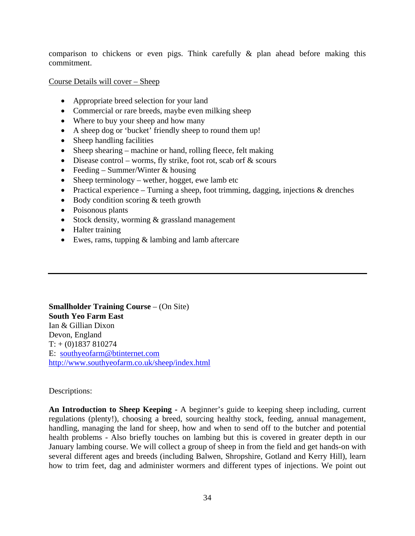comparison to chickens or even pigs. Think carefully & plan ahead before making this commitment.

Course Details will cover – Sheep

- Appropriate breed selection for your land
- Commercial or rare breeds, maybe even milking sheep
- Where to buy your sheep and how many
- A sheep dog or 'bucket' friendly sheep to round them up!
- Sheep handling facilities
- Sheep shearing machine or hand, rolling fleece, felt making
- Disease control worms, fly strike, foot rot, scab orf  $\&$  scours
- Feeding Summer/Winter  $&$  housing
- Sheep terminology wether, hogget, ewe lamb etc
- Practical experience Turning a sheep, foot trimming, dagging, injections  $\&$  drenches
- Body condition scoring & teeth growth
- Poisonous plants
- Stock density, worming & grassland management
- Halter training
- Ewes, rams, tupping & lambing and lamb aftercare

**Smallholder Training Course** – (On Site) **South Yeo Farm East**  Ian & Gillian Dixon Devon, England  $T: + (0)1837810274$ E: southyeofarm@btinternet.com http://www.southyeofarm.co.uk/sheep/index.html

Descriptions:

**An Introduction to Sheep Keeping -** A beginner's guide to keeping sheep including, current regulations (plenty!), choosing a breed, sourcing healthy stock, feeding, annual management, handling, managing the land for sheep, how and when to send off to the butcher and potential health problems - Also briefly touches on lambing but this is covered in greater depth in our January lambing course. We will collect a group of sheep in from the field and get hands-on with several different ages and breeds (including Balwen, Shropshire, Gotland and Kerry Hill), learn how to trim feet, dag and administer wormers and different types of injections. We point out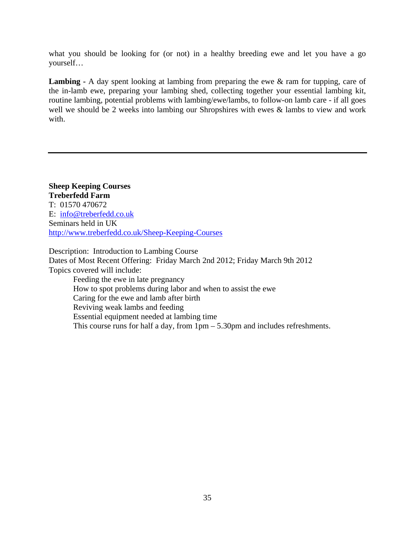what you should be looking for (or not) in a healthy breeding ewe and let you have a go yourself…

Lambing - A day spent looking at lambing from preparing the ewe & ram for tupping, care of the in-lamb ewe, preparing your lambing shed, collecting together your essential lambing kit, routine lambing, potential problems with lambing/ewe/lambs, to follow-on lamb care - if all goes well we should be 2 weeks into lambing our Shropshires with ewes & lambs to view and work with.

**Sheep Keeping Courses Treberfedd Farm**  T: 01570 470672 E: info@treberfedd.co.uk Seminars held in UK http://www.treberfedd.co.uk/Sheep-Keeping-Courses

Description: Introduction to Lambing Course Dates of Most Recent Offering: Friday March 2nd 2012; Friday March 9th 2012 Topics covered will include:

Feeding the ewe in late pregnancy How to spot problems during labor and when to assist the ewe Caring for the ewe and lamb after birth Reviving weak lambs and feeding Essential equipment needed at lambing time This course runs for half a day, from 1pm – 5.30pm and includes refreshments.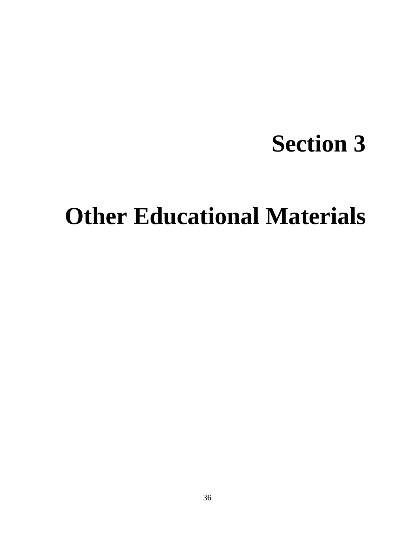# **Section 3**

# **Other Educational Materials**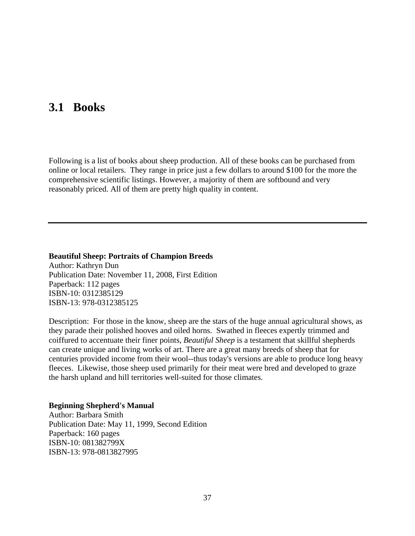# **3.1 Books**

Following is a list of books about sheep production. All of these books can be purchased from online or local retailers. They range in price just a few dollars to around \$100 for the more the comprehensive scientific listings. However, a majority of them are softbound and very reasonably priced. All of them are pretty high quality in content.

**Beautiful Sheep: Portraits of Champion Breeds**  Author: Kathryn Dun Publication Date: November 11, 2008, First Edition Paperback: 112 pages ISBN-10: 0312385129 ISBN-13: 978-0312385125

Description: For those in the know, sheep are the stars of the huge annual agricultural shows, as they parade their polished hooves and oiled horns. Swathed in fleeces expertly trimmed and coiffured to accentuate their finer points, *Beautiful Sheep* is a testament that skillful shepherds can create unique and living works of art. There are a great many breeds of sheep that for centuries provided income from their wool--thus today's versions are able to produce long heavy fleeces. Likewise, those sheep used primarily for their meat were bred and developed to graze the harsh upland and hill territories well-suited for those climates.

#### **Beginning Shepherd's Manual**

Author: Barbara Smith Publication Date: May 11, 1999, Second Edition Paperback: 160 pages ISBN-10: 081382799X ISBN-13: 978-0813827995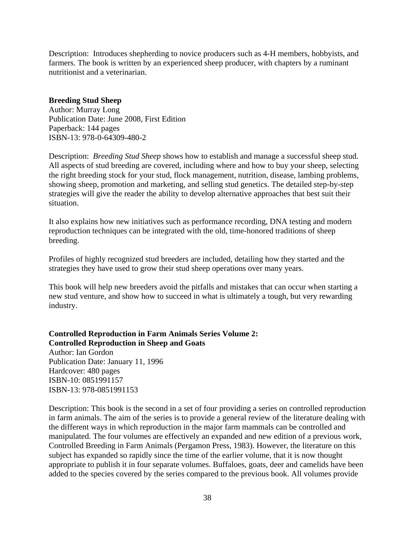Description: Introduces shepherding to novice producers such as 4-H members, hobbyists, and farmers. The book is written by an experienced sheep producer, with chapters by a ruminant nutritionist and a veterinarian.

#### **Breeding Stud Sheep**

Author: Murray Long Publication Date: June 2008, First Edition Paperback: 144 pages ISBN-13: 978-0-64309-480-2

Description: *Breeding Stud Sheep* shows how to establish and manage a successful sheep stud. All aspects of stud breeding are covered, including where and how to buy your sheep, selecting the right breeding stock for your stud, flock management, nutrition, disease, lambing problems, showing sheep, promotion and marketing, and selling stud genetics. The detailed step-by-step strategies will give the reader the ability to develop alternative approaches that best suit their situation.

It also explains how new initiatives such as performance recording, DNA testing and modern reproduction techniques can be integrated with the old, time-honored traditions of sheep breeding.

Profiles of highly recognized stud breeders are included, detailing how they started and the strategies they have used to grow their stud sheep operations over many years.

This book will help new breeders avoid the pitfalls and mistakes that can occur when starting a new stud venture, and show how to succeed in what is ultimately a tough, but very rewarding industry.

**Controlled Reproduction in Farm Animals Series Volume 2: Controlled Reproduction in Sheep and Goats**  Author: Ian Gordon Publication Date: January 11, 1996 Hardcover: 480 pages ISBN-10: 0851991157 ISBN-13: 978-0851991153

Description: This book is the second in a set of four providing a series on controlled reproduction in farm animals. The aim of the series is to provide a general review of the literature dealing with the different ways in which reproduction in the major farm mammals can be controlled and manipulated. The four volumes are effectively an expanded and new edition of a previous work, Controlled Breeding in Farm Animals (Pergamon Press, 1983). However, the literature on this subject has expanded so rapidly since the time of the earlier volume, that it is now thought appropriate to publish it in four separate volumes. Buffaloes, goats, deer and camelids have been added to the species covered by the series compared to the previous book. All volumes provide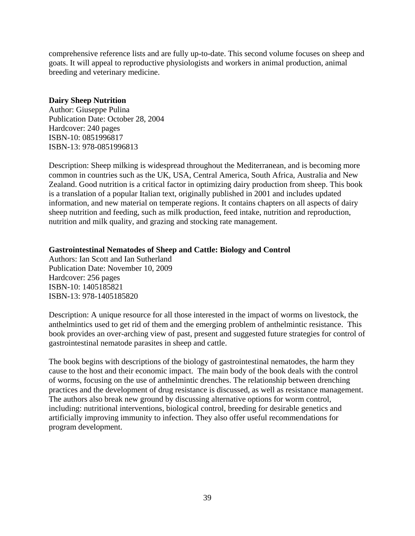comprehensive reference lists and are fully up-to-date. This second volume focuses on sheep and goats. It will appeal to reproductive physiologists and workers in animal production, animal breeding and veterinary medicine.

#### **Dairy Sheep Nutrition**

Author: Giuseppe Pulina Publication Date: October 28, 2004 Hardcover: 240 pages ISBN-10: 0851996817 ISBN-13: 978-0851996813

Description: Sheep milking is widespread throughout the Mediterranean, and is becoming more common in countries such as the UK, USA, Central America, South Africa, Australia and New Zealand. Good nutrition is a critical factor in optimizing dairy production from sheep. This book is a translation of a popular Italian text, originally published in 2001 and includes updated information, and new material on temperate regions. It contains chapters on all aspects of dairy sheep nutrition and feeding, such as milk production, feed intake, nutrition and reproduction, nutrition and milk quality, and grazing and stocking rate management.

#### **Gastrointestinal Nematodes of Sheep and Cattle: Biology and Control**

Authors: Ian Scott and Ian Sutherland Publication Date: November 10, 2009 Hardcover: 256 pages ISBN-10: 1405185821 ISBN-13: 978-1405185820

Description: A unique resource for all those interested in the impact of worms on livestock, the anthelmintics used to get rid of them and the emerging problem of anthelmintic resistance. This book provides an over-arching view of past, present and suggested future strategies for control of gastrointestinal nematode parasites in sheep and cattle.

The book begins with descriptions of the biology of gastrointestinal nematodes, the harm they cause to the host and their economic impact. The main body of the book deals with the control of worms, focusing on the use of anthelmintic drenches. The relationship between drenching practices and the development of drug resistance is discussed, as well as resistance management. The authors also break new ground by discussing alternative options for worm control, including: nutritional interventions, biological control, breeding for desirable genetics and artificially improving immunity to infection. They also offer useful recommendations for program development.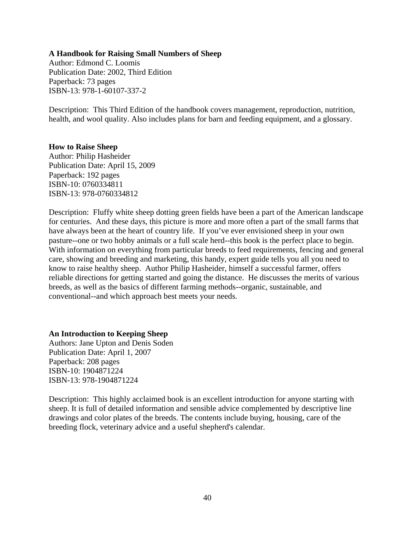#### **A Handbook for Raising Small Numbers of Sheep**

Author: Edmond C. Loomis Publication Date: 2002, Third Edition Paperback: 73 pages ISBN-13: 978-1-60107-337-2

Description: This Third Edition of the handbook covers management, reproduction, nutrition, health, and wool quality. Also includes plans for barn and feeding equipment, and a glossary.

#### **How to Raise Sheep**

Author: Philip Hasheider Publication Date: April 15, 2009 Paperback: 192 pages ISBN-10: 0760334811 ISBN-13: 978-0760334812

Description: Fluffy white sheep dotting green fields have been a part of the American landscape for centuries. And these days, this picture is more and more often a part of the small farms that have always been at the heart of country life. If you've ever envisioned sheep in your own pasture--one or two hobby animals or a full scale herd--this book is the perfect place to begin. With information on everything from particular breeds to feed requirements, fencing and general care, showing and breeding and marketing, this handy, expert guide tells you all you need to know to raise healthy sheep. Author Philip Hasheider, himself a successful farmer, offers reliable directions for getting started and going the distance. He discusses the merits of various breeds, as well as the basics of different farming methods--organic, sustainable, and conventional--and which approach best meets your needs.

#### **An Introduction to Keeping Sheep**

Authors: Jane Upton and Denis Soden Publication Date: April 1, 2007 Paperback: 208 pages ISBN-10: 1904871224 ISBN-13: 978-1904871224

Description: This highly acclaimed book is an excellent introduction for anyone starting with sheep. It is full of detailed information and sensible advice complemented by descriptive line drawings and color plates of the breeds. The contents include buying, housing, care of the breeding flock, veterinary advice and a useful shepherd's calendar.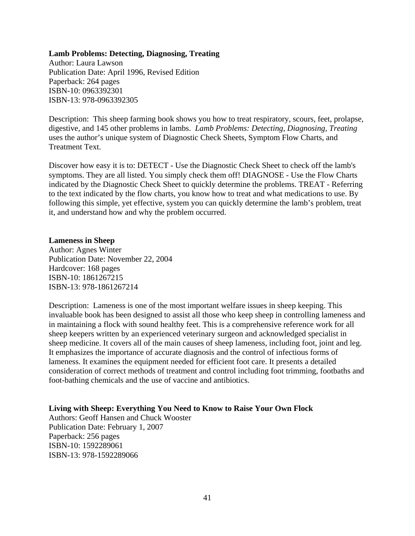#### **Lamb Problems: Detecting, Diagnosing, Treating**

Author: Laura Lawson Publication Date: April 1996, Revised Edition Paperback: 264 pages ISBN-10: 0963392301 ISBN-13: 978-0963392305

Description: This sheep farming book shows you how to treat respiratory, scours, feet, prolapse, digestive, and 145 other problems in lambs. *Lamb Problems: Detecting, Diagnosing, Treating* uses the author's unique system of Diagnostic Check Sheets, Symptom Flow Charts, and Treatment Text.

Discover how easy it is to: DETECT - Use the Diagnostic Check Sheet to check off the lamb's symptoms. They are all listed. You simply check them off! DIAGNOSE - Use the Flow Charts indicated by the Diagnostic Check Sheet to quickly determine the problems. TREAT - Referring to the text indicated by the flow charts, you know how to treat and what medications to use. By following this simple, yet effective, system you can quickly determine the lamb's problem, treat it, and understand how and why the problem occurred.

#### **Lameness in Sheep**

Author: Agnes Winter Publication Date: November 22, 2004 Hardcover: 168 pages ISBN-10: 1861267215 ISBN-13: 978-1861267214

Description: Lameness is one of the most important welfare issues in sheep keeping. This invaluable book has been designed to assist all those who keep sheep in controlling lameness and in maintaining a flock with sound healthy feet. This is a comprehensive reference work for all sheep keepers written by an experienced veterinary surgeon and acknowledged specialist in sheep medicine. It covers all of the main causes of sheep lameness, including foot, joint and leg. It emphasizes the importance of accurate diagnosis and the control of infectious forms of lameness. It examines the equipment needed for efficient foot care. It presents a detailed consideration of correct methods of treatment and control including foot trimming, footbaths and foot-bathing chemicals and the use of vaccine and antibiotics.

#### **Living with Sheep: Everything You Need to Know to Raise Your Own Flock**

Authors: Geoff Hansen and Chuck Wooster Publication Date: February 1, 2007 Paperback: 256 pages ISBN-10: 1592289061 ISBN-13: 978-1592289066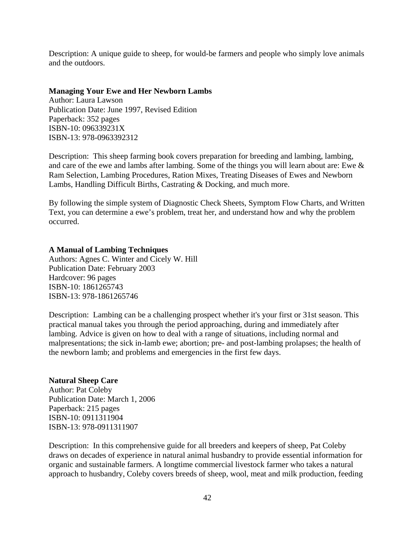Description: A unique guide to sheep, for would-be farmers and people who simply love animals and the outdoors.

#### **Managing Your Ewe and Her Newborn Lambs**

Author: Laura Lawson Publication Date: June 1997, Revised Edition Paperback: 352 pages ISBN-10: 096339231X ISBN-13: 978-0963392312

Description: This sheep farming book covers preparation for breeding and lambing, lambing, and care of the ewe and lambs after lambing. Some of the things you will learn about are: Ewe & Ram Selection, Lambing Procedures, Ration Mixes, Treating Diseases of Ewes and Newborn Lambs, Handling Difficult Births, Castrating & Docking, and much more.

By following the simple system of Diagnostic Check Sheets, Symptom Flow Charts, and Written Text, you can determine a ewe's problem, treat her, and understand how and why the problem occurred.

#### **A Manual of Lambing Techniques**

Authors: Agnes C. Winter and Cicely W. Hill Publication Date: February 2003 Hardcover: 96 pages ISBN-10: 1861265743 ISBN-13: 978-1861265746

Description: Lambing can be a challenging prospect whether it's your first or 31st season. This practical manual takes you through the period approaching, during and immediately after lambing. Advice is given on how to deal with a range of situations, including normal and malpresentations; the sick in-lamb ewe; abortion; pre- and post-lambing prolapses; the health of the newborn lamb; and problems and emergencies in the first few days.

#### **Natural Sheep Care**

Author: Pat Coleby Publication Date: March 1, 2006 Paperback: 215 pages ISBN-10: 0911311904 ISBN-13: 978-0911311907

Description: In this comprehensive guide for all breeders and keepers of sheep, Pat Coleby draws on decades of experience in natural animal husbandry to provide essential information for organic and sustainable farmers. A longtime commercial livestock farmer who takes a natural approach to husbandry, Coleby covers breeds of sheep, wool, meat and milk production, feeding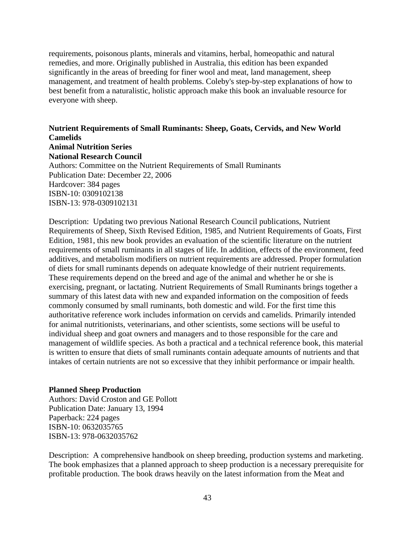requirements, poisonous plants, minerals and vitamins, herbal, homeopathic and natural remedies, and more. Originally published in Australia, this edition has been expanded significantly in the areas of breeding for finer wool and meat, land management, sheep management, and treatment of health problems. Coleby's step-by-step explanations of how to best benefit from a naturalistic, holistic approach make this book an invaluable resource for everyone with sheep.

# **Nutrient Requirements of Small Ruminants: Sheep, Goats, Cervids, and New World Camelids**

#### **Animal Nutrition Series National Research Council**

Authors: Committee on the Nutrient Requirements of Small Ruminants Publication Date: December 22, 2006 Hardcover: 384 pages ISBN-10: 0309102138 ISBN-13: 978-0309102131

Description: Updating two previous National Research Council publications, Nutrient Requirements of Sheep, Sixth Revised Edition, 1985, and Nutrient Requirements of Goats, First Edition, 1981, this new book provides an evaluation of the scientific literature on the nutrient requirements of small ruminants in all stages of life. In addition, effects of the environment, feed additives, and metabolism modifiers on nutrient requirements are addressed. Proper formulation of diets for small ruminants depends on adequate knowledge of their nutrient requirements. These requirements depend on the breed and age of the animal and whether he or she is exercising, pregnant, or lactating. Nutrient Requirements of Small Ruminants brings together a summary of this latest data with new and expanded information on the composition of feeds commonly consumed by small ruminants, both domestic and wild. For the first time this authoritative reference work includes information on cervids and camelids. Primarily intended for animal nutritionists, veterinarians, and other scientists, some sections will be useful to individual sheep and goat owners and managers and to those responsible for the care and management of wildlife species. As both a practical and a technical reference book, this material is written to ensure that diets of small ruminants contain adequate amounts of nutrients and that intakes of certain nutrients are not so excessive that they inhibit performance or impair health.

#### **Planned Sheep Production**

Authors: David Croston and GE Pollott Publication Date: January 13, 1994 Paperback: 224 pages ISBN-10: 0632035765 ISBN-13: 978-0632035762

Description: A comprehensive handbook on sheep breeding, production systems and marketing. The book emphasizes that a planned approach to sheep production is a necessary prerequisite for profitable production. The book draws heavily on the latest information from the Meat and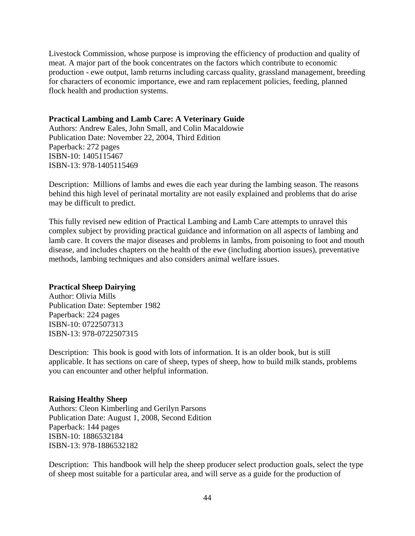Livestock Commission, whose purpose is improving the efficiency of production and quality of meat. A major part of the book concentrates on the factors which contribute to economic production - ewe output, lamb returns including carcass quality, grassland management, breeding for characters of economic importance, ewe and ram replacement policies, feeding, planned flock health and production systems.

#### **Practical Lambing and Lamb Care: A Veterinary Guide**

Authors: Andrew Eales, John Small, and Colin Macaldowie Publication Date: November 22, 2004, Third Edition Paperback: 272 pages ISBN-10: 1405115467 ISBN-13: 978-1405115469

Description: Millions of lambs and ewes die each year during the lambing season. The reasons behind this high level of perinatal mortality are not easily explained and problems that do arise may be difficult to predict.

This fully revised new edition of Practical Lambing and Lamb Care attempts to unravel this complex subject by providing practical guidance and information on all aspects of lambing and lamb care. It covers the major diseases and problems in lambs, from poisoning to foot and mouth disease, and includes chapters on the health of the ewe (including abortion issues), preventative methods, lambing techniques and also considers animal welfare issues.

#### **Practical Sheep Dairying**

Author: Olivia Mills Publication Date: September 1982 Paperback: 224 pages ISBN-10: 0722507313 ISBN-13: 978-0722507315

Description: This book is good with lots of information. It is an older book, but is still applicable. It has sections on care of sheep, types of sheep, how to build milk stands, problems you can encounter and other helpful information.

#### **Raising Healthy Sheep**

Authors: Cleon Kimberling and Gerilyn Parsons Publication Date: August 1, 2008, Second Edition Paperback: 144 pages ISBN-10: 1886532184 ISBN-13: 978-1886532182

Description: This handbook will help the sheep producer select production goals, select the type of sheep most suitable for a particular area, and will serve as a guide for the production of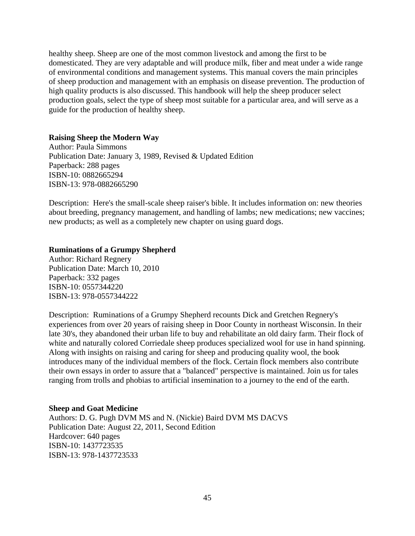healthy sheep. Sheep are one of the most common livestock and among the first to be domesticated. They are very adaptable and will produce milk, fiber and meat under a wide range of environmental conditions and management systems. This manual covers the main principles of sheep production and management with an emphasis on disease prevention. The production of high quality products is also discussed. This handbook will help the sheep producer select production goals, select the type of sheep most suitable for a particular area, and will serve as a guide for the production of healthy sheep.

#### **Raising Sheep the Modern Way**

Author: Paula Simmons Publication Date: January 3, 1989, Revised & Updated Edition Paperback: 288 pages ISBN-10: 0882665294 ISBN-13: 978-0882665290

Description: Here's the small-scale sheep raiser's bible. It includes information on: new theories about breeding, pregnancy management, and handling of lambs; new medications; new vaccines; new products; as well as a completely new chapter on using guard dogs.

#### **Ruminations of a Grumpy Shepherd**

Author: Richard Regnery Publication Date: March 10, 2010 Paperback: 332 pages ISBN-10: 0557344220 ISBN-13: 978-0557344222

Description: Ruminations of a Grumpy Shepherd recounts Dick and Gretchen Regnery's experiences from over 20 years of raising sheep in Door County in northeast Wisconsin. In their late 30's, they abandoned their urban life to buy and rehabilitate an old dairy farm. Their flock of white and naturally colored Corriedale sheep produces specialized wool for use in hand spinning. Along with insights on raising and caring for sheep and producing quality wool, the book introduces many of the individual members of the flock. Certain flock members also contribute their own essays in order to assure that a "balanced" perspective is maintained. Join us for tales ranging from trolls and phobias to artificial insemination to a journey to the end of the earth.

#### **Sheep and Goat Medicine**

Authors: D. G. Pugh DVM MS and N. (Nickie) Baird DVM MS DACVS Publication Date: August 22, 2011, Second Edition Hardcover: 640 pages ISBN-10: 1437723535 ISBN-13: 978-1437723533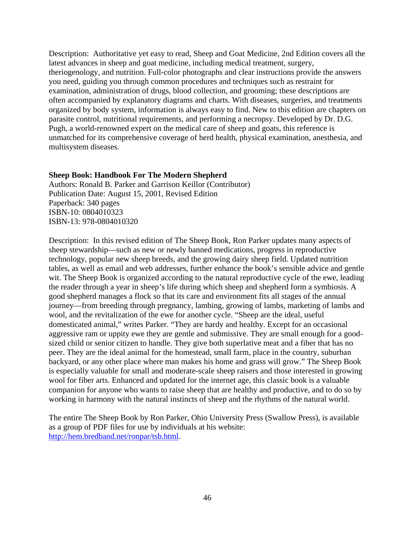Description: Authoritative yet easy to read, Sheep and Goat Medicine, 2nd Edition covers all the latest advances in sheep and goat medicine, including medical treatment, surgery, theriogenology, and nutrition. Full-color photographs and clear instructions provide the answers you need, guiding you through common procedures and techniques such as restraint for examination, administration of drugs, blood collection, and grooming; these descriptions are often accompanied by explanatory diagrams and charts. With diseases, surgeries, and treatments organized by body system, information is always easy to find. New to this edition are chapters on parasite control, nutritional requirements, and performing a necropsy. Developed by Dr. D.G. Pugh, a world-renowned expert on the medical care of sheep and goats, this reference is unmatched for its comprehensive coverage of herd health, physical examination, anesthesia, and multisystem diseases.

#### **Sheep Book: Handbook For The Modern Shepherd**

Authors: Ronald B. Parker and Garrison Keillor (Contributor) Publication Date: August 15, 2001, Revised Edition Paperback: 340 pages ISBN-10: 0804010323 ISBN-13: 978-0804010320

Description: In this revised edition of The Sheep Book, Ron Parker updates many aspects of sheep stewardship—such as new or newly banned medications, progress in reproductive technology, popular new sheep breeds, and the growing dairy sheep field. Updated nutrition tables, as well as email and web addresses, further enhance the book's sensible advice and gentle wit. The Sheep Book is organized according to the natural reproductive cycle of the ewe, leading the reader through a year in sheep's life during which sheep and shepherd form a symbiosis. A good shepherd manages a flock so that its care and environment fits all stages of the annual journey—from breeding through pregnancy, lambing, growing of lambs, marketing of lambs and wool, and the revitalization of the ewe for another cycle. "Sheep are the ideal, useful domesticated animal," writes Parker. "They are hardy and healthy. Except for an occasional aggressive ram or uppity ewe they are gentle and submissive. They are small enough for a goodsized child or senior citizen to handle. They give both superlative meat and a fiber that has no peer. They are the ideal animal for the homestead, small farm, place in the country, suburban backyard, or any other place where man makes his home and grass will grow." The Sheep Book is especially valuable for small and moderate-scale sheep raisers and those interested in growing wool for fiber arts. Enhanced and updated for the internet age, this classic book is a valuable companion for anyone who wants to raise sheep that are healthy and productive, and to do so by working in harmony with the natural instincts of sheep and the rhythms of the natural world.

The entire The Sheep Book by Ron Parker, Ohio University Press (Swallow Press), is available as a group of PDF files for use by individuals at his website: http://hem.bredband.net/ronpar/tsb.html.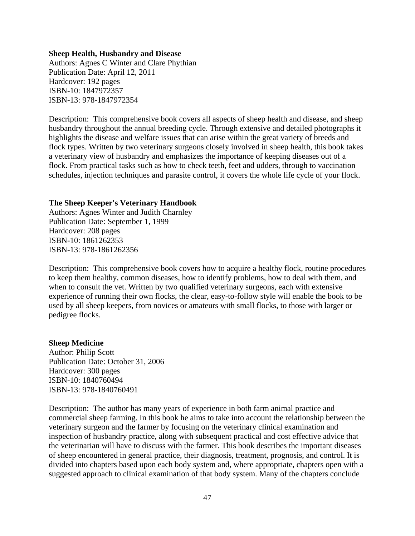#### **Sheep Health, Husbandry and Disease**

Authors: Agnes C Winter and Clare Phythian Publication Date: April 12, 2011 Hardcover: 192 pages ISBN-10: 1847972357 ISBN-13: 978-1847972354

Description: This comprehensive book covers all aspects of sheep health and disease, and sheep husbandry throughout the annual breeding cycle. Through extensive and detailed photographs it highlights the disease and welfare issues that can arise within the great variety of breeds and flock types. Written by two veterinary surgeons closely involved in sheep health, this book takes a veterinary view of husbandry and emphasizes the importance of keeping diseases out of a flock. From practical tasks such as how to check teeth, feet and udders, through to vaccination schedules, injection techniques and parasite control, it covers the whole life cycle of your flock.

#### **The Sheep Keeper's Veterinary Handbook**

Authors: Agnes Winter and Judith Charnley Publication Date: September 1, 1999 Hardcover: 208 pages ISBN-10: 1861262353 ISBN-13: 978-1861262356

Description: This comprehensive book covers how to acquire a healthy flock, routine procedures to keep them healthy, common diseases, how to identify problems, how to deal with them, and when to consult the vet. Written by two qualified veterinary surgeons, each with extensive experience of running their own flocks, the clear, easy-to-follow style will enable the book to be used by all sheep keepers, from novices or amateurs with small flocks, to those with larger or pedigree flocks.

#### **Sheep Medicine**

Author: Philip Scott Publication Date: October 31, 2006 Hardcover: 300 pages ISBN-10: 1840760494 ISBN-13: 978-1840760491

Description: The author has many years of experience in both farm animal practice and commercial sheep farming. In this book he aims to take into account the relationship between the veterinary surgeon and the farmer by focusing on the veterinary clinical examination and inspection of husbandry practice, along with subsequent practical and cost effective advice that the veterinarian will have to discuss with the farmer. This book describes the important diseases of sheep encountered in general practice, their diagnosis, treatment, prognosis, and control. It is divided into chapters based upon each body system and, where appropriate, chapters open with a suggested approach to clinical examination of that body system. Many of the chapters conclude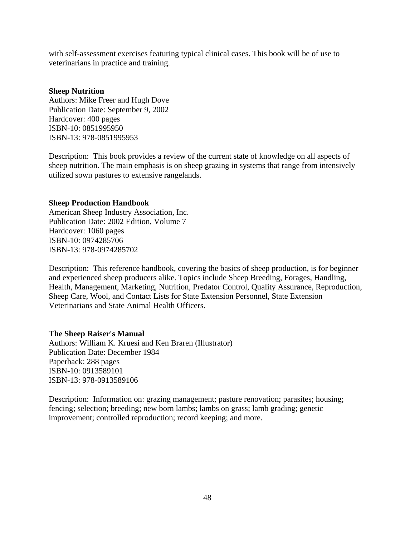with self-assessment exercises featuring typical clinical cases. This book will be of use to veterinarians in practice and training.

#### **Sheep Nutrition**

Authors: Mike Freer and Hugh Dove Publication Date: September 9, 2002 Hardcover: 400 pages ISBN-10: 0851995950 ISBN-13: 978-0851995953

Description: This book provides a review of the current state of knowledge on all aspects of sheep nutrition. The main emphasis is on sheep grazing in systems that range from intensively utilized sown pastures to extensive rangelands.

#### **Sheep Production Handbook**

American Sheep Industry Association, Inc. Publication Date: 2002 Edition, Volume 7 Hardcover: 1060 pages ISBN-10: 0974285706 ISBN-13: 978-0974285702

Description: This reference handbook, covering the basics of sheep production, is for beginner and experienced sheep producers alike. Topics include Sheep Breeding, Forages, Handling, Health, Management, Marketing, Nutrition, Predator Control, Quality Assurance, Reproduction, Sheep Care, Wool, and Contact Lists for State Extension Personnel, State Extension Veterinarians and State Animal Health Officers.

#### **The Sheep Raiser's Manual**

Authors: William K. Kruesi and Ken Braren (Illustrator) Publication Date: December 1984 Paperback: 288 pages ISBN-10: 0913589101 ISBN-13: 978-0913589106

Description: Information on: grazing management; pasture renovation; parasites; housing; fencing; selection; breeding; new born lambs; lambs on grass; lamb grading; genetic improvement; controlled reproduction; record keeping; and more.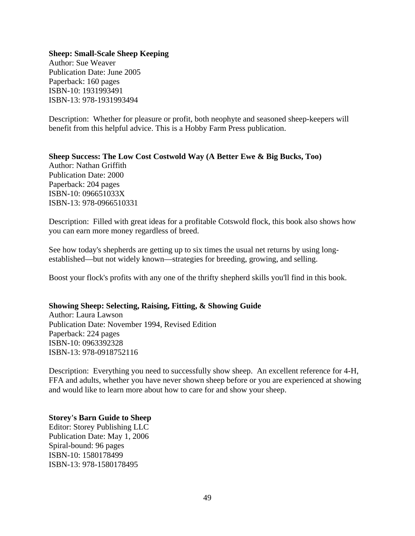#### **Sheep: Small-Scale Sheep Keeping**

Author: Sue Weaver Publication Date: June 2005 Paperback: 160 pages ISBN-10: 1931993491 ISBN-13: 978-1931993494

Description: Whether for pleasure or profit, both neophyte and seasoned sheep-keepers will benefit from this helpful advice. This is a Hobby Farm Press publication.

**Sheep Success: The Low Cost Costwold Way (A Better Ewe & Big Bucks, Too)**  Author: Nathan Griffith Publication Date: 2000 Paperback: 204 pages ISBN-10: 096651033X ISBN-13: 978-0966510331

Description: Filled with great ideas for a profitable Cotswold flock, this book also shows how you can earn more money regardless of breed.

See how today's shepherds are getting up to six times the usual net returns by using longestablished—but not widely known—strategies for breeding, growing, and selling.

Boost your flock's profits with any one of the thrifty shepherd skills you'll find in this book.

#### **Showing Sheep: Selecting, Raising, Fitting, & Showing Guide**

Author: Laura Lawson Publication Date: November 1994, Revised Edition Paperback: 224 pages ISBN-10: 0963392328 ISBN-13: 978-0918752116

Description: Everything you need to successfully show sheep. An excellent reference for 4-H, FFA and adults, whether you have never shown sheep before or you are experienced at showing and would like to learn more about how to care for and show your sheep.

#### **Storey's Barn Guide to Sheep**

Editor: Storey Publishing LLC Publication Date: May 1, 2006 Spiral-bound: 96 pages ISBN-10: 1580178499 ISBN-13: 978-1580178495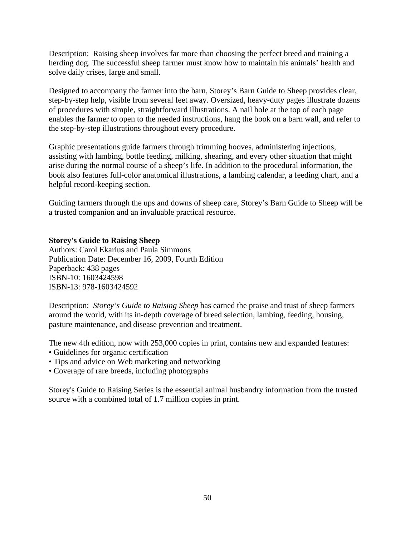Description: Raising sheep involves far more than choosing the perfect breed and training a herding dog. The successful sheep farmer must know how to maintain his animals' health and solve daily crises, large and small.

Designed to accompany the farmer into the barn, Storey's Barn Guide to Sheep provides clear, step-by-step help, visible from several feet away. Oversized, heavy-duty pages illustrate dozens of procedures with simple, straightforward illustrations. A nail hole at the top of each page enables the farmer to open to the needed instructions, hang the book on a barn wall, and refer to the step-by-step illustrations throughout every procedure.

Graphic presentations guide farmers through trimming hooves, administering injections, assisting with lambing, bottle feeding, milking, shearing, and every other situation that might arise during the normal course of a sheep's life. In addition to the procedural information, the book also features full-color anatomical illustrations, a lambing calendar, a feeding chart, and a helpful record-keeping section.

Guiding farmers through the ups and downs of sheep care, Storey's Barn Guide to Sheep will be a trusted companion and an invaluable practical resource.

#### **Storey's Guide to Raising Sheep**

Authors: Carol Ekarius and Paula Simmons Publication Date: December 16, 2009, Fourth Edition Paperback: 438 pages ISBN-10: 1603424598 ISBN-13: 978-1603424592

Description: *Storey's Guide to Raising Sheep* has earned the praise and trust of sheep farmers around the world, with its in-depth coverage of breed selection, lambing, feeding, housing, pasture maintenance, and disease prevention and treatment.

The new 4th edition, now with 253,000 copies in print, contains new and expanded features:

- Guidelines for organic certification
- Tips and advice on Web marketing and networking
- Coverage of rare breeds, including photographs

Storey's Guide to Raising Series is the essential animal husbandry information from the trusted source with a combined total of 1.7 million copies in print.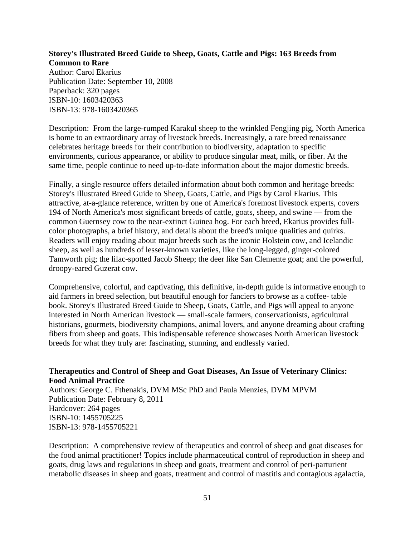#### **Storey's Illustrated Breed Guide to Sheep, Goats, Cattle and Pigs: 163 Breeds from Common to Rare**

Author: Carol Ekarius Publication Date: September 10, 2008 Paperback: 320 pages ISBN-10: 1603420363 ISBN-13: 978-1603420365

Description: From the large-rumped Karakul sheep to the wrinkled Fengjing pig, North America is home to an extraordinary array of livestock breeds. Increasingly, a rare breed renaissance celebrates heritage breeds for their contribution to biodiversity, adaptation to specific environments, curious appearance, or ability to produce singular meat, milk, or fiber. At the same time, people continue to need up-to-date information about the major domestic breeds.

Finally, a single resource offers detailed information about both common and heritage breeds: Storey's Illustrated Breed Guide to Sheep, Goats, Cattle, and Pigs by Carol Ekarius. This attractive, at-a-glance reference, written by one of America's foremost livestock experts, covers 194 of North America's most significant breeds of cattle, goats, sheep, and swine — from the common Guernsey cow to the near-extinct Guinea hog. For each breed, Ekarius provides fullcolor photographs, a brief history, and details about the breed's unique qualities and quirks. Readers will enjoy reading about major breeds such as the iconic Holstein cow, and Icelandic sheep, as well as hundreds of lesser-known varieties, like the long-legged, ginger-colored Tamworth pig; the lilac-spotted Jacob Sheep; the deer like San Clemente goat; and the powerful, droopy-eared Guzerat cow.

Comprehensive, colorful, and captivating, this definitive, in-depth guide is informative enough to aid farmers in breed selection, but beautiful enough for fanciers to browse as a coffee- table book. Storey's Illustrated Breed Guide to Sheep, Goats, Cattle, and Pigs will appeal to anyone interested in North American livestock — small-scale farmers, conservationists, agricultural historians, gourmets, biodiversity champions, animal lovers, and anyone dreaming about crafting fibers from sheep and goats. This indispensable reference showcases North American livestock breeds for what they truly are: fascinating, stunning, and endlessly varied.

#### **Therapeutics and Control of Sheep and Goat Diseases, An Issue of Veterinary Clinics: Food Animal Practice**

Authors: George C. Fthenakis, DVM MSc PhD and Paula Menzies, DVM MPVM Publication Date: February 8, 2011 Hardcover: 264 pages ISBN-10: 1455705225 ISBN-13: 978-1455705221

Description: A comprehensive review of therapeutics and control of sheep and goat diseases for the food animal practitioner! Topics include pharmaceutical control of reproduction in sheep and goats, drug laws and regulations in sheep and goats, treatment and control of peri-parturient metabolic diseases in sheep and goats, treatment and control of mastitis and contagious agalactia,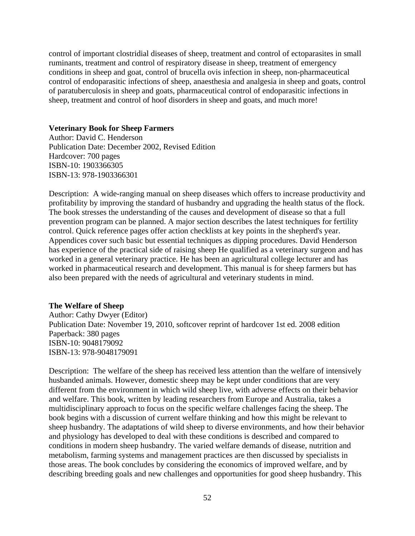control of important clostridial diseases of sheep, treatment and control of ectoparasites in small ruminants, treatment and control of respiratory disease in sheep, treatment of emergency conditions in sheep and goat, control of brucella ovis infection in sheep, non-pharmaceutical control of endoparasitic infections of sheep, anaesthesia and analgesia in sheep and goats, control of paratuberculosis in sheep and goats, pharmaceutical control of endoparasitic infections in sheep, treatment and control of hoof disorders in sheep and goats, and much more!

#### **Veterinary Book for Sheep Farmers**

Author: David C. Henderson Publication Date: December 2002, Revised Edition Hardcover: 700 pages ISBN-10: 1903366305 ISBN-13: 978-1903366301

Description: A wide-ranging manual on sheep diseases which offers to increase productivity and profitability by improving the standard of husbandry and upgrading the health status of the flock. The book stresses the understanding of the causes and development of disease so that a full prevention program can be planned. A major section describes the latest techniques for fertility control. Quick reference pages offer action checklists at key points in the shepherd's year. Appendices cover such basic but essential techniques as dipping procedures. David Henderson has experience of the practical side of raising sheep He qualified as a veterinary surgeon and has worked in a general veterinary practice. He has been an agricultural college lecturer and has worked in pharmaceutical research and development. This manual is for sheep farmers but has also been prepared with the needs of agricultural and veterinary students in mind.

#### **The Welfare of Sheep**

Author: Cathy Dwyer (Editor) Publication Date: November 19, 2010, softcover reprint of hardcover 1st ed. 2008 edition Paperback: 380 pages ISBN-10: 9048179092 ISBN-13: 978-9048179091

Description: The welfare of the sheep has received less attention than the welfare of intensively husbanded animals. However, domestic sheep may be kept under conditions that are very different from the environment in which wild sheep live, with adverse effects on their behavior and welfare. This book, written by leading researchers from Europe and Australia, takes a multidisciplinary approach to focus on the specific welfare challenges facing the sheep. The book begins with a discussion of current welfare thinking and how this might be relevant to sheep husbandry. The adaptations of wild sheep to diverse environments, and how their behavior and physiology has developed to deal with these conditions is described and compared to conditions in modern sheep husbandry. The varied welfare demands of disease, nutrition and metabolism, farming systems and management practices are then discussed by specialists in those areas. The book concludes by considering the economics of improved welfare, and by describing breeding goals and new challenges and opportunities for good sheep husbandry. This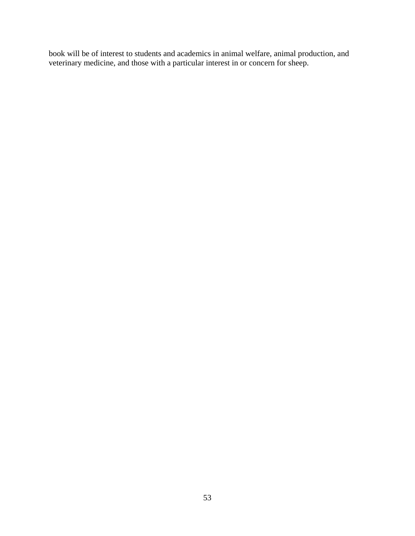book will be of interest to students and academics in animal welfare, animal production, and veterinary medicine, and those with a particular interest in or concern for sheep.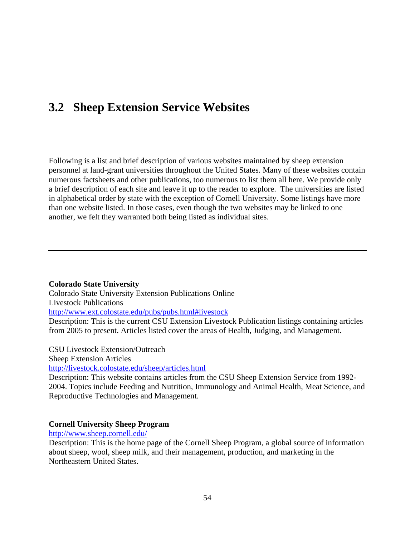# **3.2 Sheep Extension Service Websites**

Following is a list and brief description of various websites maintained by sheep extension personnel at land-grant universities throughout the United States. Many of these websites contain numerous factsheets and other publications, too numerous to list them all here. We provide only a brief description of each site and leave it up to the reader to explore. The universities are listed in alphabetical order by state with the exception of Cornell University. Some listings have more than one website listed. In those cases, even though the two websites may be linked to one another, we felt they warranted both being listed as individual sites.

#### **Colorado State University**

Colorado State University Extension Publications Online Livestock Publications http://www.ext.colostate.edu/pubs/pubs.html#livestock Description: This is the current CSU Extension Livestock Publication listings containing articles from 2005 to present. Articles listed cover the areas of Health, Judging, and Management.

CSU Livestock Extension/Outreach

Sheep Extension Articles

http://livestock.colostate.edu/sheep/articles.html

Description: This website contains articles from the CSU Sheep Extension Service from 1992- 2004. Topics include Feeding and Nutrition, Immunology and Animal Health, Meat Science, and Reproductive Technologies and Management.

#### **Cornell University Sheep Program**

http://www.sheep.cornell.edu/

Description: This is the home page of the Cornell Sheep Program, a global source of information about sheep, wool, sheep milk, and their management, production, and marketing in the Northeastern United States.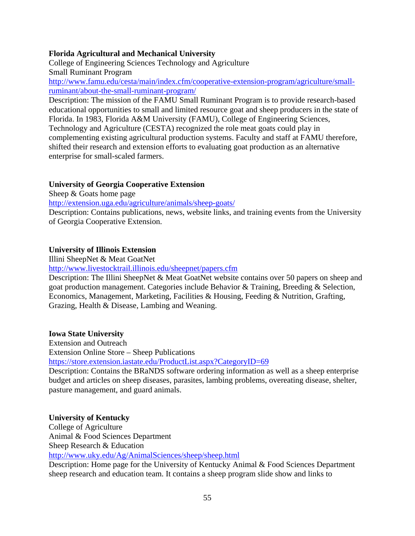## **Florida Agricultural and Mechanical University**

College of Engineering Sciences Technology and Agriculture Small Ruminant Program

http://www.famu.edu/cesta/main/index.cfm/cooperative-extension-program/agriculture/smallruminant/about-the-small-ruminant-program/

Description: The mission of the FAMU Small Ruminant Program is to provide research-based educational opportunities to small and limited resource goat and sheep producers in the state of Florida. In 1983, Florida A&M University (FAMU), College of Engineering Sciences, Technology and Agriculture (CESTA) recognized the role meat goats could play in complementing existing agricultural production systems. Faculty and staff at FAMU therefore, shifted their research and extension efforts to evaluating goat production as an alternative enterprise for small-scaled farmers.

# **University of Georgia Cooperative Extension**

Sheep & Goats home page

http://extension.uga.edu/agriculture/animals/sheep-goats/

Description: Contains publications, news, website links, and training events from the University of Georgia Cooperative Extension.

## **University of Illinois Extension**

Illini SheepNet & Meat GoatNet

http://www.livestocktrail.illinois.edu/sheepnet/papers.cfm

Description: The Illini SheepNet & Meat GoatNet website contains over 50 papers on sheep and goat production management. Categories include Behavior & Training, Breeding & Selection, Economics, Management, Marketing, Facilities & Housing, Feeding & Nutrition, Grafting, Grazing, Health & Disease, Lambing and Weaning.

#### **Iowa State University**

Extension and Outreach

Extension Online Store – Sheep Publications

https://store.extension.iastate.edu/ProductList.aspx?CategoryID=69

Description: Contains the BRaNDS software ordering information as well as a sheep enterprise budget and articles on sheep diseases, parasites, lambing problems, overeating disease, shelter, pasture management, and guard animals.

#### **University of Kentucky**

College of Agriculture Animal & Food Sciences Department Sheep Research & Education http://www.uky.edu/Ag/AnimalSciences/sheep/sheep.html Description: Home page for the University of Kentucky Animal & Food Sciences Department sheep research and education team. It contains a sheep program slide show and links to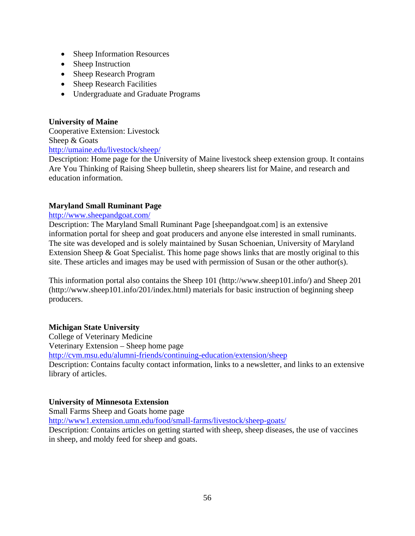- Sheep Information Resources
- Sheep Instruction
- Sheep Research Program
- Sheep Research Facilities
- Undergraduate and Graduate Programs

## **University of Maine**

Cooperative Extension: Livestock Sheep & Goats http://umaine.edu/livestock/sheep/

Description: Home page for the University of Maine livestock sheep extension group. It contains Are You Thinking of Raising Sheep bulletin, sheep shearers list for Maine, and research and education information.

# **Maryland Small Ruminant Page**

#### http://www.sheepandgoat.com/

Description: The Maryland Small Ruminant Page [sheepandgoat.com] is an extensive information portal for sheep and goat producers and anyone else interested in small ruminants. The site was developed and is solely maintained by Susan Schoenian, University of Maryland Extension Sheep & Goat Specialist. This home page shows links that are mostly original to this site. These articles and images may be used with permission of Susan or the other author(s).

This information portal also contains the Sheep 101 (http://www.sheep101.info/) and Sheep 201 (http://www.sheep101.info/201/index.html) materials for basic instruction of beginning sheep producers.

#### **Michigan State University**

College of Veterinary Medicine Veterinary Extension – Sheep home page http://cvm.msu.edu/alumni-friends/continuing-education/extension/sheep Description: Contains faculty contact information, links to a newsletter, and links to an extensive library of articles.

# **University of Minnesota Extension**

Small Farms Sheep and Goats home page http://www1.extension.umn.edu/food/small-farms/livestock/sheep-goats/

Description: Contains articles on getting started with sheep, sheep diseases, the use of vaccines in sheep, and moldy feed for sheep and goats.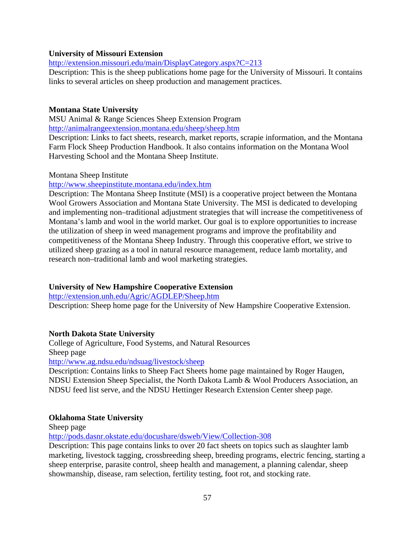### **University of Missouri Extension**

http://extension.missouri.edu/main/DisplayCategory.aspx?C=213

Description: This is the sheep publications home page for the University of Missouri. It contains links to several articles on sheep production and management practices.

## **Montana State University**

MSU Animal & Range Sciences Sheep Extension Program http://animalrangeextension.montana.edu/sheep/sheep.htm

Description: Links to fact sheets, research, market reports, scrapie information, and the Montana Farm Flock Sheep Production Handbook. It also contains information on the Montana Wool Harvesting School and the Montana Sheep Institute.

#### Montana Sheep Institute

http://www.sheepinstitute.montana.edu/index.htm

Description: The Montana Sheep Institute (MSI) is a cooperative project between the Montana Wool Growers Association and Montana State University. The MSI is dedicated to developing and implementing non–traditional adjustment strategies that will increase the competitiveness of Montana's lamb and wool in the world market. Our goal is to explore opportunities to increase the utilization of sheep in weed management programs and improve the profitability and competitiveness of the Montana Sheep Industry. Through this cooperative effort, we strive to utilized sheep grazing as a tool in natural resource management, reduce lamb mortality, and research non–traditional lamb and wool marketing strategies.

# **University of New Hampshire Cooperative Extension**

http://extension.unh.edu/Agric/AGDLEP/Sheep.htm

Description: Sheep home page for the University of New Hampshire Cooperative Extension.

#### **North Dakota State University**

College of Agriculture, Food Systems, and Natural Resources Sheep page http://www.ag.ndsu.edu/ndsuag/livestock/sheep

Description: Contains links to Sheep Fact Sheets home page maintained by Roger Haugen, NDSU Extension Sheep Specialist, the North Dakota Lamb & Wool Producers Association, an NDSU feed list serve, and the NDSU Hettinger Research Extension Center sheep page.

#### **Oklahoma State University**

Sheep page

http://pods.dasnr.okstate.edu/docushare/dsweb/View/Collection-308

Description: This page contains links to over 20 fact sheets on topics such as slaughter lamb marketing, livestock tagging, crossbreeding sheep, breeding programs, electric fencing, starting a sheep enterprise, parasite control, sheep health and management, a planning calendar, sheep showmanship, disease, ram selection, fertility testing, foot rot, and stocking rate.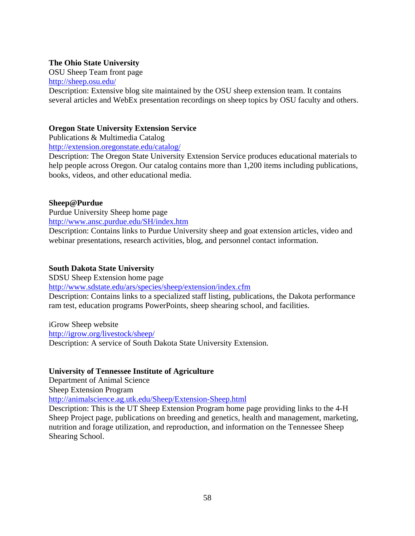## **The Ohio State University**

OSU Sheep Team front page http://sheep.osu.edu/

Description: Extensive blog site maintained by the OSU sheep extension team. It contains several articles and WebEx presentation recordings on sheep topics by OSU faculty and others.

### **Oregon State University Extension Service**

Publications & Multimedia Catalog

http://extension.oregonstate.edu/catalog/

Description: The Oregon State University Extension Service produces educational materials to help people across Oregon. Our catalog contains more than 1,200 items including publications, books, videos, and other educational media.

## **Sheep@Purdue**

Purdue University Sheep home page http://www.ansc.purdue.edu/SH/index.htm

Description: Contains links to Purdue University sheep and goat extension articles, video and webinar presentations, research activities, blog, and personnel contact information.

# **South Dakota State University**

SDSU Sheep Extension home page

http://www.sdstate.edu/ars/species/sheep/extension/index.cfm

Description: Contains links to a specialized staff listing, publications, the Dakota performance ram test, education programs PowerPoints, sheep shearing school, and facilities.

iGrow Sheep website http://igrow.org/livestock/sheep/ Description: A service of South Dakota State University Extension.

#### **University of Tennessee Institute of Agriculture**

Department of Animal Science

Sheep Extension Program

http://animalscience.ag.utk.edu/Sheep/Extension-Sheep.html

Description: This is the UT Sheep Extension Program home page providing links to the 4-H Sheep Project page, publications on breeding and genetics, health and management, marketing, nutrition and forage utilization, and reproduction, and information on the Tennessee Sheep Shearing School.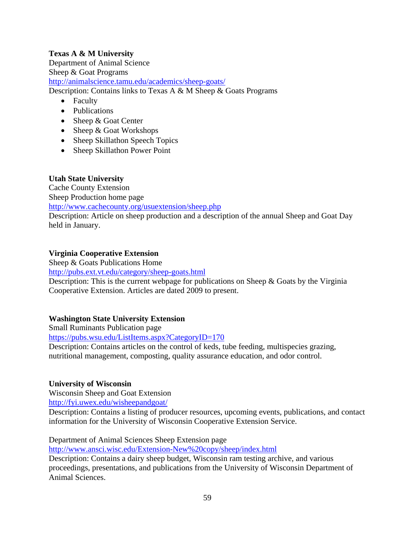# **Texas A & M University**

Department of Animal Science Sheep & Goat Programs http://animalscience.tamu.edu/academics/sheep-goats/ Description: Contains links to Texas A & M Sheep & Goats Programs

- Faculty
- Publications
- Sheep & Goat Center
- Sheep & Goat Workshops
- Sheep Skillathon Speech Topics
- Sheep Skillathon Power Point

# **Utah State University**

Cache County Extension Sheep Production home page http://www.cachecounty.org/usuextension/sheep.php

Description: Article on sheep production and a description of the annual Sheep and Goat Day held in January.

# **Virginia Cooperative Extension**

Sheep & Goats Publications Home

http://pubs.ext.vt.edu/category/sheep-goats.html

Description: This is the current webpage for publications on Sheep & Goats by the Virginia Cooperative Extension. Articles are dated 2009 to present.

# **Washington State University Extension**

Small Ruminants Publication page

https://pubs.wsu.edu/ListItems.aspx?CategoryID=170

Description: Contains articles on the control of keds, tube feeding, multispecies grazing, nutritional management, composting, quality assurance education, and odor control.

# **University of Wisconsin**

Wisconsin Sheep and Goat Extension

http://fyi.uwex.edu/wisheepandgoat/

Description: Contains a listing of producer resources, upcoming events, publications, and contact information for the University of Wisconsin Cooperative Extension Service.

Department of Animal Sciences Sheep Extension page

http://www.ansci.wisc.edu/Extension-New%20copy/sheep/index.html

Description: Contains a dairy sheep budget, Wisconsin ram testing archive, and various proceedings, presentations, and publications from the University of Wisconsin Department of Animal Sciences.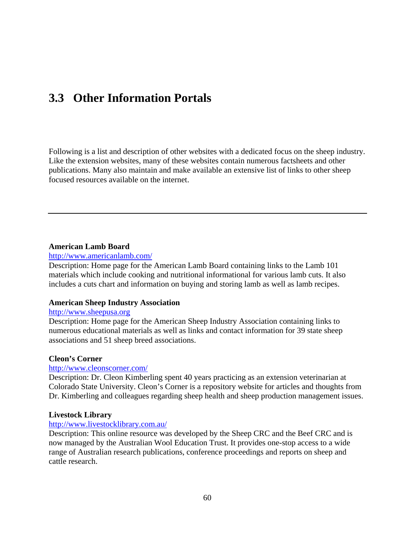# **3.3 Other Information Portals**

Following is a list and description of other websites with a dedicated focus on the sheep industry. Like the extension websites, many of these websites contain numerous factsheets and other publications. Many also maintain and make available an extensive list of links to other sheep focused resources available on the internet.

#### **American Lamb Board**

#### http://www.americanlamb.com/

Description: Home page for the American Lamb Board containing links to the Lamb 101 materials which include cooking and nutritional informational for various lamb cuts. It also includes a cuts chart and information on buying and storing lamb as well as lamb recipes.

#### **American Sheep Industry Association**

#### http://www.sheepusa.org

Description: Home page for the American Sheep Industry Association containing links to numerous educational materials as well as links and contact information for 39 state sheep associations and 51 sheep breed associations.

#### **Cleon's Corner**

#### http://www.cleonscorner.com/

Description: Dr. Cleon Kimberling spent 40 years practicing as an extension veterinarian at Colorado State University. Cleon's Corner is a repository website for articles and thoughts from Dr. Kimberling and colleagues regarding sheep health and sheep production management issues.

#### **Livestock Library**

## http://www.livestocklibrary.com.au/

Description: This online resource was developed by the Sheep CRC and the Beef CRC and is now managed by the Australian Wool Education Trust. It provides one-stop access to a wide range of Australian research publications, conference proceedings and reports on sheep and cattle research.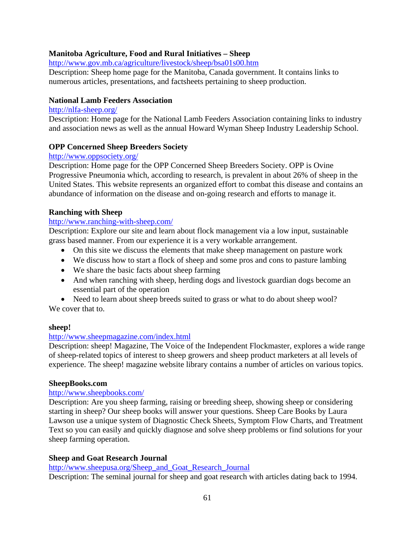# **Manitoba Agriculture, Food and Rural Initiatives – Sheep**

http://www.gov.mb.ca/agriculture/livestock/sheep/bsa01s00.htm

Description: Sheep home page for the Manitoba, Canada government. It contains links to numerous articles, presentations, and factsheets pertaining to sheep production.

#### **National Lamb Feeders Association**

#### http://nlfa-sheep.org/

Description: Home page for the National Lamb Feeders Association containing links to industry and association news as well as the annual Howard Wyman Sheep Industry Leadership School.

#### **OPP Concerned Sheep Breeders Society**

#### http://www.oppsociety.org/

Description: Home page for the OPP Concerned Sheep Breeders Society. OPP is Ovine Progressive Pneumonia which, according to research, is prevalent in about 26% of sheep in the United States. This website represents an organized effort to combat this disease and contains an abundance of information on the disease and on-going research and efforts to manage it.

#### **Ranching with Sheep**

#### http://www.ranching-with-sheep.com/

Description: Explore our site and learn about flock management via a low input, sustainable grass based manner. From our experience it is a very workable arrangement.

- On this site we discuss the elements that make sheep management on pasture work
- We discuss how to start a flock of sheep and some pros and cons to pasture lambing
- We share the basic facts about sheep farming
- And when ranching with sheep, herding dogs and livestock guardian dogs become an essential part of the operation
- Need to learn about sheep breeds suited to grass or what to do about sheep wool? We cover that to.

#### **sheep!**

#### http://www.sheepmagazine.com/index.html

Description: sheep! Magazine, The Voice of the Independent Flockmaster, explores a wide range of sheep-related topics of interest to sheep growers and sheep product marketers at all levels of experience. The sheep! magazine website library contains a number of articles on various topics.

#### **SheepBooks.com**

#### http://www.sheepbooks.com/

Description: Are you sheep farming, raising or breeding sheep, showing sheep or considering starting in sheep? Our sheep books will answer your questions. Sheep Care Books by Laura Lawson use a unique system of Diagnostic Check Sheets, Symptom Flow Charts, and Treatment Text so you can easily and quickly diagnose and solve sheep problems or find solutions for your sheep farming operation.

### **Sheep and Goat Research Journal**

http://www.sheepusa.org/Sheep\_and\_Goat\_Research\_Journal

Description: The seminal journal for sheep and goat research with articles dating back to 1994.